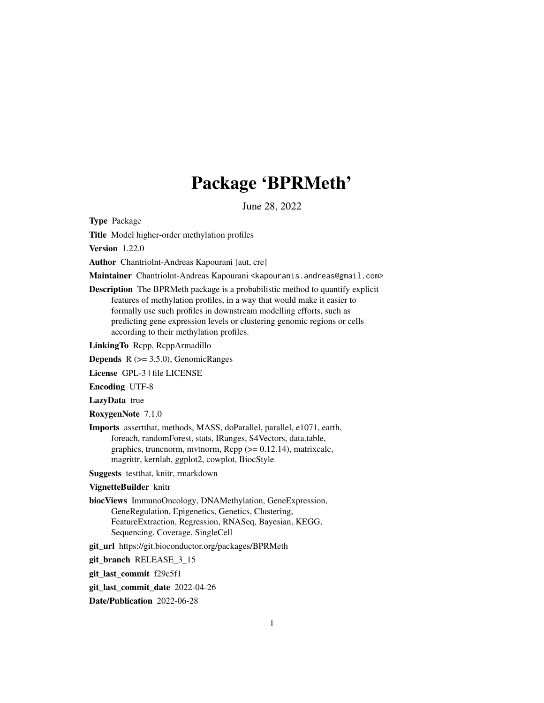# Package 'BPRMeth'

June 28, 2022

<span id="page-0-0"></span>Type Package

Title Model higher-order methylation profiles

Version 1.22.0

Author Chantriolnt-Andreas Kapourani [aut, cre]

Maintainer Chantriolnt-Andreas Kapourani <kapouranis.andreas@gmail.com>

Description The BPRMeth package is a probabilistic method to quantify explicit features of methylation profiles, in a way that would make it easier to formally use such profiles in downstream modelling efforts, such as predicting gene expression levels or clustering genomic regions or cells according to their methylation profiles.

LinkingTo Rcpp, RcppArmadillo

**Depends**  $R$  ( $> = 3.5.0$ ), GenomicRanges

License GPL-3 | file LICENSE

Encoding UTF-8

LazyData true

RoxygenNote 7.1.0

Imports assertthat, methods, MASS, doParallel, parallel, e1071, earth, foreach, randomForest, stats, IRanges, S4Vectors, data.table, graphics, truncnorm, mvtnorm,  $\text{Rcpp} (> = 0.12.14)$ , matrixcalc, magrittr, kernlab, ggplot2, cowplot, BiocStyle

Suggests testthat, knitr, rmarkdown

#### VignetteBuilder knitr

biocViews ImmunoOncology, DNAMethylation, GeneExpression, GeneRegulation, Epigenetics, Genetics, Clustering, FeatureExtraction, Regression, RNASeq, Bayesian, KEGG, Sequencing, Coverage, SingleCell

git\_url https://git.bioconductor.org/packages/BPRMeth

git\_branch RELEASE\_3\_15

git\_last\_commit f29c5f1

git\_last\_commit\_date 2022-04-26

Date/Publication 2022-06-28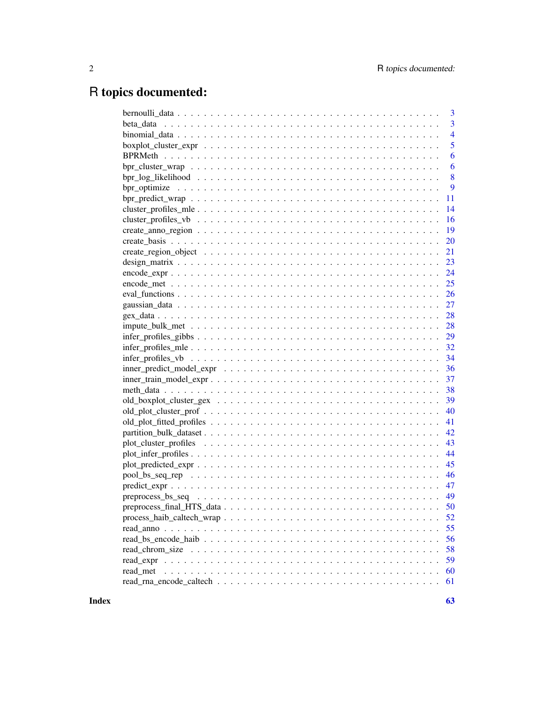# R topics documented:

|                                                                                                                | 3              |
|----------------------------------------------------------------------------------------------------------------|----------------|
|                                                                                                                | 3              |
|                                                                                                                | $\overline{4}$ |
|                                                                                                                | 5              |
|                                                                                                                | 6              |
|                                                                                                                | 6              |
|                                                                                                                | 8              |
|                                                                                                                | 9              |
| $bpr\_predict\_wrap \dots \dots \dots \dots \dots \dots \dots \dots \dots \dots \dots \dots \dots \dots \dots$ | 11             |
|                                                                                                                | 14             |
|                                                                                                                | 16             |
|                                                                                                                | 19             |
|                                                                                                                | 20             |
|                                                                                                                | 21             |
|                                                                                                                | 23             |
|                                                                                                                | 24             |
|                                                                                                                | 25             |
|                                                                                                                | 26             |
|                                                                                                                | 27             |
|                                                                                                                | 28             |
|                                                                                                                | 28             |
|                                                                                                                | 29             |
|                                                                                                                | 32             |
|                                                                                                                | 34             |
|                                                                                                                | 36             |
|                                                                                                                | 37             |
|                                                                                                                | 38             |
|                                                                                                                | 39             |
|                                                                                                                | 40             |
|                                                                                                                | 41             |
|                                                                                                                | 42             |
|                                                                                                                | 43             |
|                                                                                                                | 44             |
|                                                                                                                | 45             |
|                                                                                                                | 46             |
|                                                                                                                | 47             |
|                                                                                                                | 49             |
|                                                                                                                | 50             |
|                                                                                                                | 52             |
|                                                                                                                | 55             |
|                                                                                                                | 56             |
|                                                                                                                |                |
|                                                                                                                | 58<br>59       |
|                                                                                                                |                |
| read_met                                                                                                       | 60             |
|                                                                                                                | 61             |

 $\blacksquare$  Index  $\blacksquare$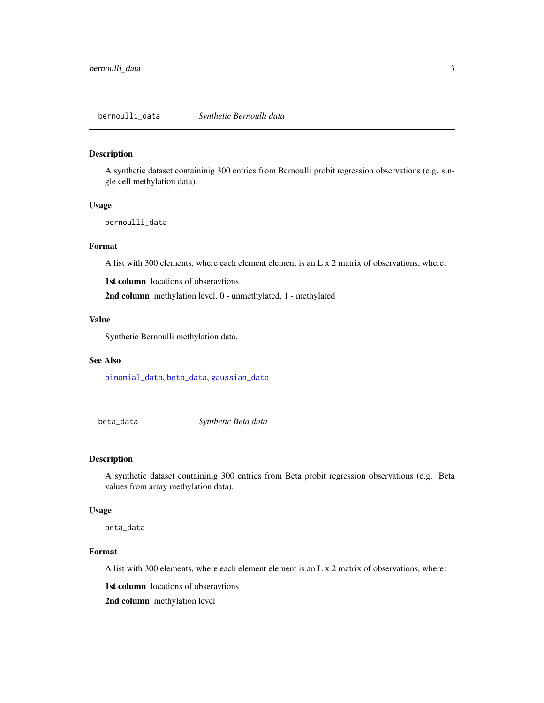#### <span id="page-2-2"></span><span id="page-2-0"></span>Description

A synthetic dataset containinig 300 entries from Bernoulli probit regression observations (e.g. single cell methylation data).

#### Usage

bernoulli\_data

#### Format

A list with 300 elements, where each element element is an L x 2 matrix of observations, where:

1st column locations of obseravtions

2nd column methylation level, 0 - unmethylated, 1 - methylated

## Value

Synthetic Bernoulli methylation data.

#### See Also

[binomial\\_data](#page-3-1), [beta\\_data](#page-2-1), [gaussian\\_data](#page-26-1)

<span id="page-2-1"></span>beta\_data *Synthetic Beta data*

#### Description

A synthetic dataset containinig 300 entries from Beta probit regression observations (e.g. Beta values from array methylation data).

#### Usage

beta\_data

## Format

A list with 300 elements, where each element element is an L x 2 matrix of observations, where:

1st column locations of obseravtions

2nd column methylation level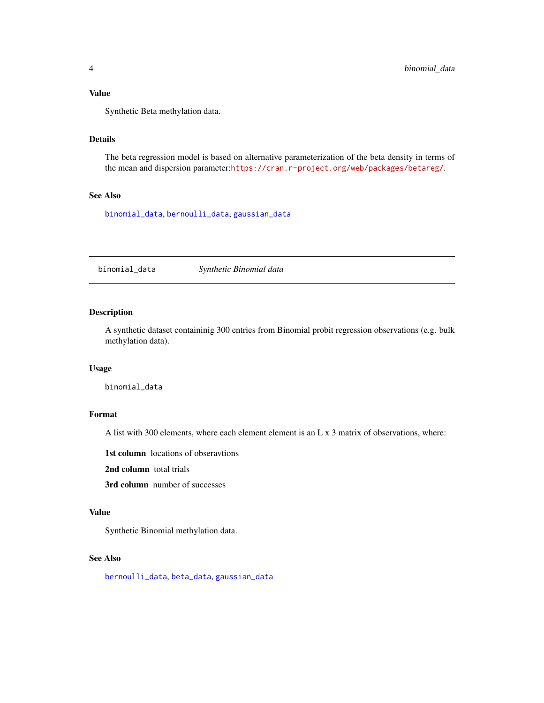<span id="page-3-0"></span>Synthetic Beta methylation data.

## Details

The beta regression model is based on alternative parameterization of the beta density in terms of the mean and dispersion parameter:<https://cran.r-project.org/web/packages/betareg/>.

## See Also

[binomial\\_data](#page-3-1), [bernoulli\\_data](#page-2-2), [gaussian\\_data](#page-26-1)

<span id="page-3-1"></span>binomial\_data *Synthetic Binomial data*

## Description

A synthetic dataset containinig 300 entries from Binomial probit regression observations (e.g. bulk methylation data).

#### Usage

binomial\_data

## Format

A list with 300 elements, where each element element is an L x 3 matrix of observations, where:

1st column locations of obseravtions

2nd column total trials

3rd column number of successes

## Value

Synthetic Binomial methylation data.

#### See Also

[bernoulli\\_data](#page-2-2), [beta\\_data](#page-2-1), [gaussian\\_data](#page-26-1)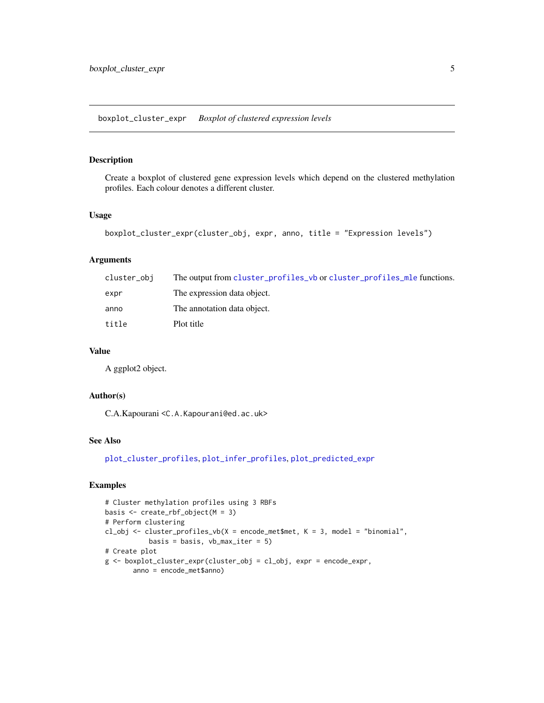## <span id="page-4-1"></span><span id="page-4-0"></span>Description

Create a boxplot of clustered gene expression levels which depend on the clustered methylation profiles. Each colour denotes a different cluster.

## Usage

```
boxplot_cluster_expr(cluster_obj, expr, anno, title = "Expression levels")
```
## Arguments

| cluster_obi | The output from cluster_profiles_vb or cluster_profiles_mle functions. |
|-------------|------------------------------------------------------------------------|
| expr        | The expression data object.                                            |
| anno        | The annotation data object.                                            |
| title       | Plot title                                                             |

## Value

A ggplot2 object.

## Author(s)

C.A.Kapourani <C.A.Kapourani@ed.ac.uk>

#### See Also

[plot\\_cluster\\_profiles](#page-42-1), [plot\\_infer\\_profiles](#page-43-1), [plot\\_predicted\\_expr](#page-44-1)

## Examples

```
# Cluster methylation profiles using 3 RBFs
basis <- create_rbf_object(M = 3)
# Perform clustering
cl_obj <- cluster_profiles_vb(X = encode_met$met, K = 3, model = "binomial",
          basis = basis, vb_max_iter = 5)
# Create plot
g <- boxplot_cluster_expr(cluster_obj = cl_obj, expr = encode_expr,
       anno = encode_met$anno)
```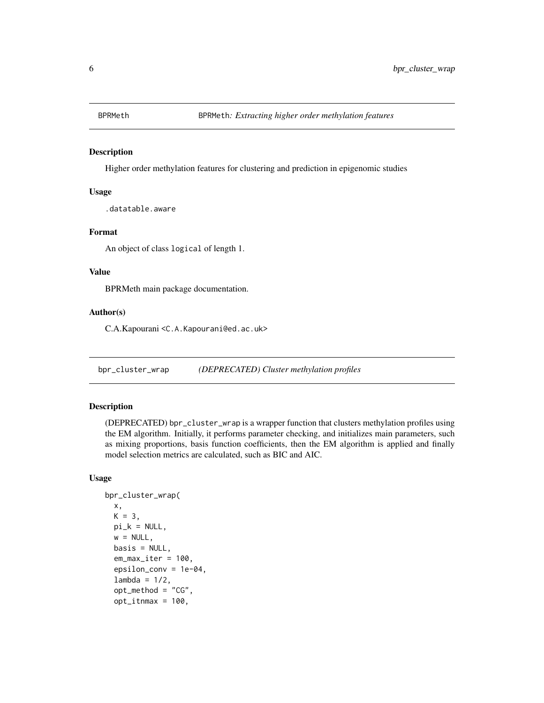<span id="page-5-0"></span>

#### Description

Higher order methylation features for clustering and prediction in epigenomic studies

#### Usage

.datatable.aware

#### Format

An object of class logical of length 1.

#### Value

BPRMeth main package documentation.

## Author(s)

C.A.Kapourani <C.A.Kapourani@ed.ac.uk>

bpr\_cluster\_wrap *(DEPRECATED) Cluster methylation profiles*

## Description

(DEPRECATED) bpr\_cluster\_wrap is a wrapper function that clusters methylation profiles using the EM algorithm. Initially, it performs parameter checking, and initializes main parameters, such as mixing proportions, basis function coefficients, then the EM algorithm is applied and finally model selection metrics are calculated, such as BIC and AIC.

## Usage

```
bpr_cluster_wrap(
 x,
 K = 3,
 pi_k = NULL,w = NULL,basis = NULL,em_max_iter = 100,
  epsilon_conv = 1e-04,
  lambda = 1/2,
  opt_method = "CG",
  opt\_itnmax = 100,
```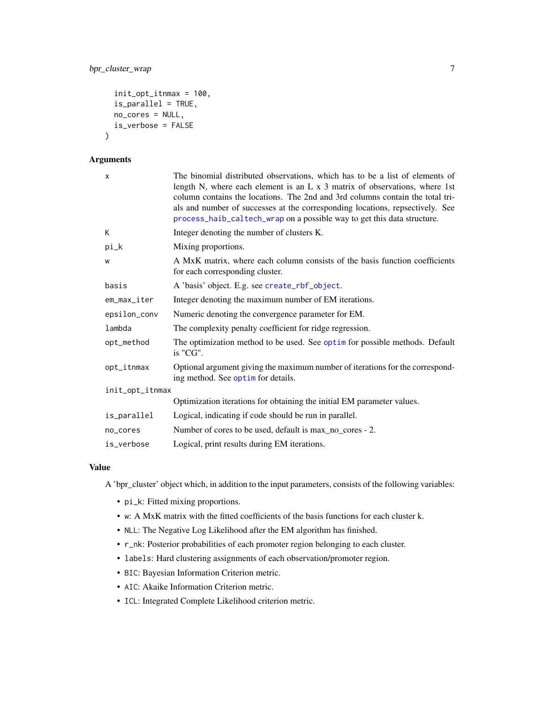```
init_opt_itnmax = 100,
is_parallel = TRUE,
no_cores = NULL,
is_verbose = FALSE
```
## Arguments

 $\lambda$ 

| $\times$        | The binomial distributed observations, which has to be a list of elements of<br>length N, where each element is an $L \times 3$ matrix of observations, where 1st<br>column contains the locations. The 2nd and 3rd columns contain the total tri-<br>als and number of successes at the corresponding locations, repsectively. See<br>process_haib_caltech_wrap on a possible way to get this data structure. |  |
|-----------------|----------------------------------------------------------------------------------------------------------------------------------------------------------------------------------------------------------------------------------------------------------------------------------------------------------------------------------------------------------------------------------------------------------------|--|
| К               | Integer denoting the number of clusters K.                                                                                                                                                                                                                                                                                                                                                                     |  |
| pi_k            | Mixing proportions.                                                                                                                                                                                                                                                                                                                                                                                            |  |
| W               | A MxK matrix, where each column consists of the basis function coefficients<br>for each corresponding cluster.                                                                                                                                                                                                                                                                                                 |  |
| basis           | A 'basis' object. E.g. see create_rbf_object.                                                                                                                                                                                                                                                                                                                                                                  |  |
| em_max_iter     | Integer denoting the maximum number of EM iterations.                                                                                                                                                                                                                                                                                                                                                          |  |
| epsilon_conv    | Numeric denoting the convergence parameter for EM.                                                                                                                                                                                                                                                                                                                                                             |  |
| lambda          | The complexity penalty coefficient for ridge regression.                                                                                                                                                                                                                                                                                                                                                       |  |
| opt_method      | The optimization method to be used. See optim for possible methods. Default<br>is "CG".                                                                                                                                                                                                                                                                                                                        |  |
| opt_itnmax      | Optional argument giving the maximum number of iterations for the correspond-<br>ing method. See optim for details.                                                                                                                                                                                                                                                                                            |  |
| init_opt_itnmax |                                                                                                                                                                                                                                                                                                                                                                                                                |  |
|                 | Optimization iterations for obtaining the initial EM parameter values.                                                                                                                                                                                                                                                                                                                                         |  |
| is_parallel     | Logical, indicating if code should be run in parallel.                                                                                                                                                                                                                                                                                                                                                         |  |
| no_cores        | Number of cores to be used, default is max_no_cores - 2.                                                                                                                                                                                                                                                                                                                                                       |  |
| is_verbose      | Logical, print results during EM iterations.                                                                                                                                                                                                                                                                                                                                                                   |  |

## Value

A 'bpr\_cluster' object which, in addition to the input parameters, consists of the following variables:

- pi\_k: Fitted mixing proportions.
- w: A MxK matrix with the fitted coefficients of the basis functions for each cluster k.
- NLL: The Negative Log Likelihood after the EM algorithm has finished.
- r\_nk: Posterior probabilities of each promoter region belonging to each cluster.
- labels: Hard clustering assignments of each observation/promoter region.
- BIC: Bayesian Information Criterion metric.
- AIC: Akaike Information Criterion metric.
- ICL: Integrated Complete Likelihood criterion metric.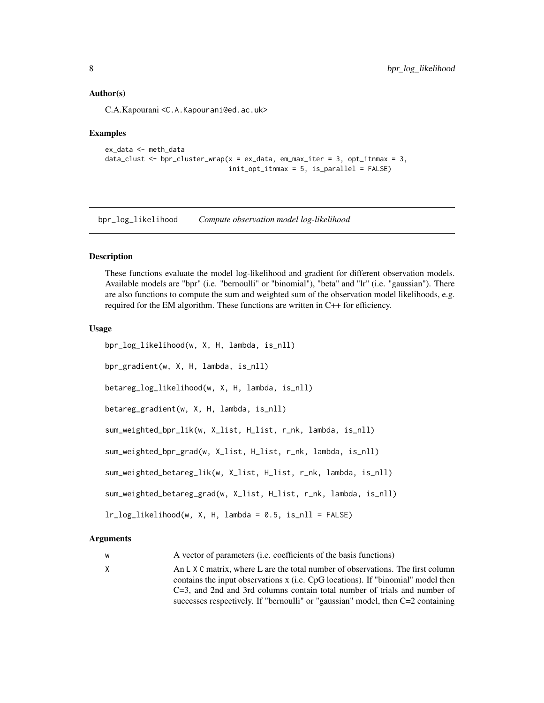#### <span id="page-7-0"></span>Author(s)

C.A.Kapourani <C.A.Kapourani@ed.ac.uk>

#### Examples

```
ex_data <- meth_data
data_clust <- bpr_{\text{cluster\_wrap}}(x = ex_{\text{data}}, em_{\text{max\_iter}} = 3, opt_{\text{inmax}} = 3,init\_opt\_itnmax = 5, is_parallel = FALSE)
```
bpr\_log\_likelihood *Compute observation model log-likelihood*

#### **Description**

These functions evaluate the model log-likelihood and gradient for different observation models. Available models are "bpr" (i.e. "bernoulli" or "binomial"), "beta" and "lr" (i.e. "gaussian"). There are also functions to compute the sum and weighted sum of the observation model likelihoods, e.g. required for the EM algorithm. These functions are written in C++ for efficiency.

#### Usage

```
bpr_log_likelihood(w, X, H, lambda, is_nll)
bpr_gradient(w, X, H, lambda, is_nll)
betareg_log_likelihood(w, X, H, lambda, is_nll)
betareg_gradient(w, X, H, lambda, is_nll)
sum_weighted_bpr_lik(w, X_list, H_list, r_nk, lambda, is_nll)
sum_weighted_bpr_grad(w, X_list, H_list, r_nk, lambda, is_nll)
sum_weighted_betareg_lik(w, X_list, H_list, r_nk, lambda, is_nll)
sum_weighted_betareg_grad(w, X_list, H_list, r_nk, lambda, is_nll)
lr_log_likelihood(w, X, H, lambda = 0.5, is_nll = FALSE)
```
#### Arguments

w A vector of parameters (i.e. coefficients of the basis functions)

X An L X C matrix, where L are the total number of observations. The first column contains the input observations x (i.e. CpG locations). If "binomial" model then C=3, and 2nd and 3rd columns contain total number of trials and number of successes respectively. If "bernoulli" or "gaussian" model, then C=2 containing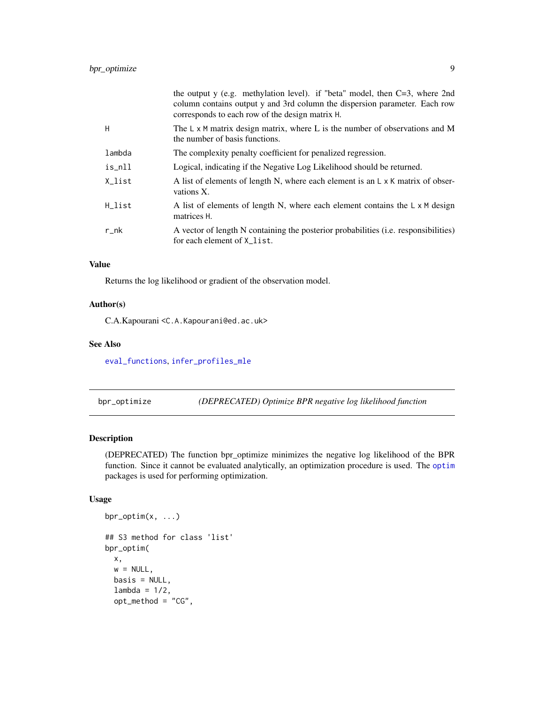<span id="page-8-0"></span>

|             | the output y (e.g. methylation level). if "beta" model, then $C=3$ , where 2nd<br>column contains output y and 3rd column the dispersion parameter. Each row<br>corresponds to each row of the design matrix H. |
|-------------|-----------------------------------------------------------------------------------------------------------------------------------------------------------------------------------------------------------------|
| H           | The $L \times M$ matrix design matrix, where L is the number of observations and M<br>the number of basis functions.                                                                                            |
| lambda      | The complexity penalty coefficient for penalized regression.                                                                                                                                                    |
| is_nll      | Logical, indicating if the Negative Log Likelihood should be returned.                                                                                                                                          |
| X_list      | A list of elements of length N, where each element is an L x K matrix of obser-<br>vations X.                                                                                                                   |
| H_list      | A list of elements of length N, where each element contains the $\mathsf{L} \times \mathsf{M}$ design<br>matrices H.                                                                                            |
| $r_{\rm n}$ | A vector of length N containing the posterior probabilities (i.e. responsibilities)<br>for each element of X_list.                                                                                              |

Returns the log likelihood or gradient of the observation model.

#### Author(s)

C.A.Kapourani <C.A.Kapourani@ed.ac.uk>

#### See Also

[eval\\_functions](#page-25-1), [infer\\_profiles\\_mle](#page-31-1)

<span id="page-8-1"></span>bpr\_optimize *(DEPRECATED) Optimize BPR negative log likelihood function*

## Description

(DEPRECATED) The function bpr\_optimize minimizes the negative log likelihood of the BPR function. Since it cannot be evaluated analytically, an optimization procedure is used. The [optim](#page-0-0) packages is used for performing optimization.

## Usage

```
bpr_optim(x, ...)
## S3 method for class 'list'
bpr_optim(
 x,
 w = NULL,
 basis = NULL,
  lambda = 1/2,
  opt_method = "CG",
```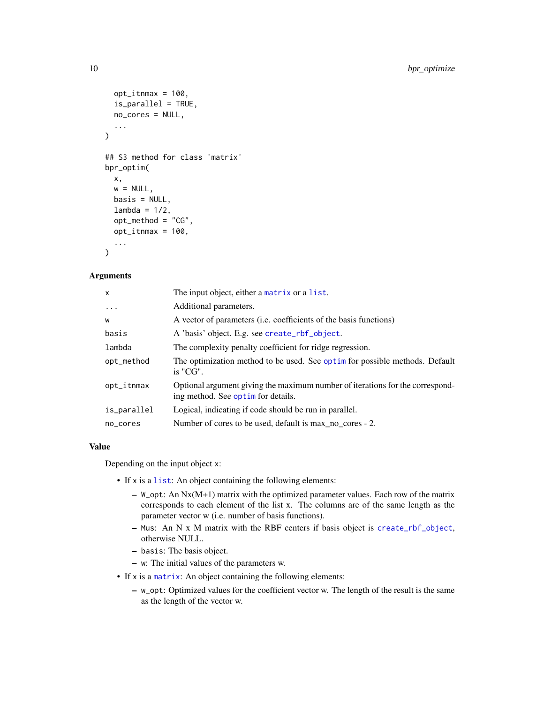```
opt\_itnmax = 100,
  is_parallel = TRUE,
 no_cores = NULL,
  ...
\mathcal{L}## S3 method for class 'matrix'
bpr_optim(
 x,
 w = NULL,basis = NULL,lambda = 1/2,
 opt_method = "CG",
 opt\_itnmax = 100,
  ...
)
```
#### Arguments

| X             | The input object, either a matrix or a list.                                                                        |
|---------------|---------------------------------------------------------------------------------------------------------------------|
| $\ddots$      | Additional parameters.                                                                                              |
| W             | A vector of parameters ( <i>i.e.</i> coefficients of the basis functions)                                           |
| basis         | A 'basis' object. E.g. see create_rbf_object.                                                                       |
| lambda        | The complexity penalty coefficient for ridge regression.                                                            |
| opt_method    | The optimization method to be used. See optim for possible methods. Default<br>$i$ s "CG".                          |
| $opt_i$ tnmax | Optional argument giving the maximum number of iterations for the correspond-<br>ing method. See optim for details. |
| is_parallel   | Logical, indicating if code should be run in parallel.                                                              |
| no_cores      | Number of cores to be used, default is max_no_cores - 2.                                                            |
|               |                                                                                                                     |

#### Value

Depending on the input object x:

- If x is a [list](#page-0-0): An object containing the following elements:
	- W\_opt: An Nx(M+1) matrix with the optimized parameter values. Each row of the matrix corresponds to each element of the list x. The columns are of the same length as the parameter vector w (i.e. number of basis functions).
	- Mus: An N x M matrix with the RBF centers if basis object is [create\\_rbf\\_object](#page-19-1), otherwise NULL.
	- basis: The basis object.
	- w: The initial values of the parameters w.
- If x is a [matrix](#page-0-0): An object containing the following elements:
	- w\_opt: Optimized values for the coefficient vector w. The length of the result is the same as the length of the vector w.

<span id="page-9-0"></span>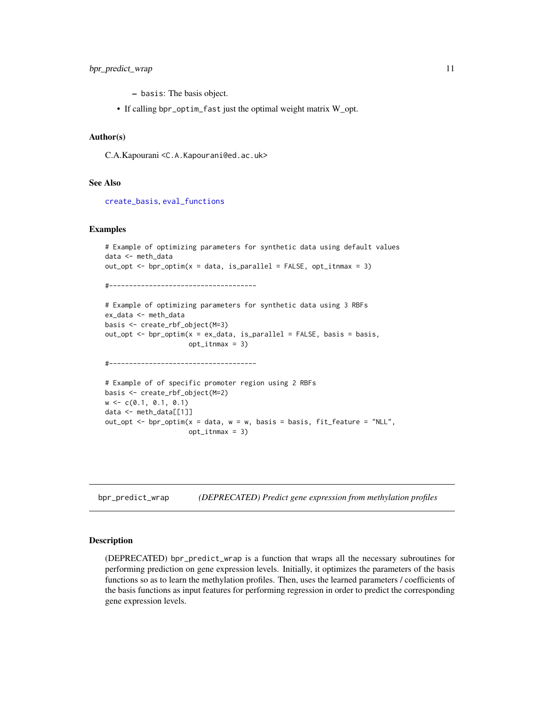- <span id="page-10-0"></span>– basis: The basis object.
- If calling bpr\_optim\_fast just the optimal weight matrix W\_opt.

## Author(s)

C.A.Kapourani <C.A.Kapourani@ed.ac.uk>

#### See Also

[create\\_basis](#page-19-2), [eval\\_functions](#page-25-1)

#### Examples

```
# Example of optimizing parameters for synthetic data using default values
data <- meth_data
out_opt \leq bpr_optim(x = data, is_parallel = FALSE, opt_itnmax = 3)
#-------------------------------------
# Example of optimizing parameters for synthetic data using 3 RBFs
ex_data <- meth_data
basis <- create_rbf_object(M=3)
out_opt <- bpr\_optim(x = ex_data, is\_parallel = FALSE, basis = basis,opt_itnmax = 3)
#-------------------------------------
# Example of of specific promoter region using 2 RBFs
basis <- create_rbf_object(M=2)
w \leq -c(0.1, 0.1, 0.1)data <- meth_data[[1]]
out_opt <- bpr\_optim(x = data, w = w, basis = basis, fit_feature = "NLL",
                     opt_itnmax = 3)
```
bpr\_predict\_wrap *(DEPRECATED) Predict gene expression from methylation profiles*

#### Description

(DEPRECATED) bpr\_predict\_wrap is a function that wraps all the necessary subroutines for performing prediction on gene expression levels. Initially, it optimizes the parameters of the basis functions so as to learn the methylation profiles. Then, uses the learned parameters / coefficients of the basis functions as input features for performing regression in order to predict the corresponding gene expression levels.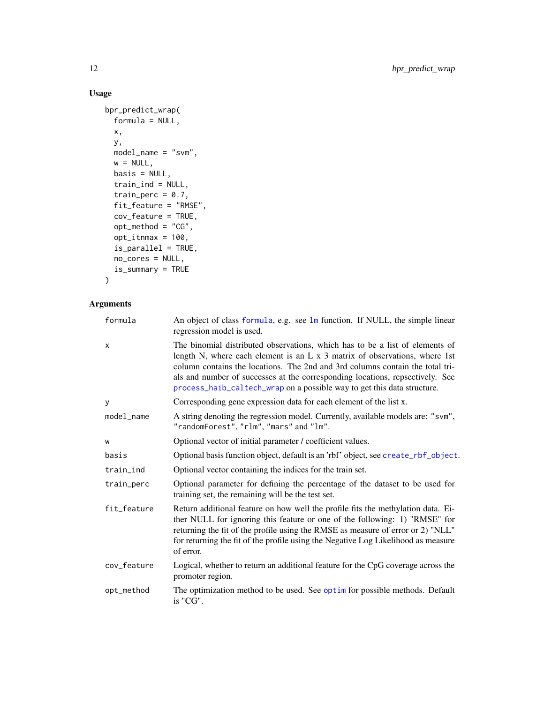## Usage

```
bpr_predict_wrap(
 formula = NULL,
 x,
 y,
 model_name = "swm",w = NULL,basis = NULL,train_ind = NULL,
 train_perc = 0.7,
 fit_feature = "RMSE",
 cov_feature = TRUE,
 opt_method = "CG",
 opt\_itnmax = 100,
 is_parallel = TRUE,
 no_cores = NULL,
 is_summary = TRUE
)
```
## Arguments

| formula     | An object of class formula, e.g. see lm function. If NULL, the simple linear<br>regression model is used.                                                                                                                                                                                                                                                                                                      |
|-------------|----------------------------------------------------------------------------------------------------------------------------------------------------------------------------------------------------------------------------------------------------------------------------------------------------------------------------------------------------------------------------------------------------------------|
| x           | The binomial distributed observations, which has to be a list of elements of<br>length N, where each element is an $L \times 3$ matrix of observations, where 1st<br>column contains the locations. The 2nd and 3rd columns contain the total tri-<br>als and number of successes at the corresponding locations, repsectively. See<br>process_haib_caltech_wrap on a possible way to get this data structure. |
| y           | Corresponding gene expression data for each element of the list x.                                                                                                                                                                                                                                                                                                                                             |
| model_name  | A string denoting the regression model. Currently, available models are: "svm",<br>"randomForest", "rlm", "mars" and "lm".                                                                                                                                                                                                                                                                                     |
| W           | Optional vector of initial parameter / coefficient values.                                                                                                                                                                                                                                                                                                                                                     |
| basis       | Optional basis function object, default is an 'rbf' object, see create_rbf_object.                                                                                                                                                                                                                                                                                                                             |
| train_ind   | Optional vector containing the indices for the train set.                                                                                                                                                                                                                                                                                                                                                      |
| train_perc  | Optional parameter for defining the percentage of the dataset to be used for<br>training set, the remaining will be the test set.                                                                                                                                                                                                                                                                              |
| fit_feature | Return additional feature on how well the profile fits the methylation data. Ei-<br>ther NULL for ignoring this feature or one of the following: 1) "RMSE" for<br>returning the fit of the profile using the RMSE as measure of error or 2) "NLL"<br>for returning the fit of the profile using the Negative Log Likelihood as measure<br>of error.                                                            |
| cov_feature | Logical, whether to return an additional feature for the CpG coverage across the<br>promoter region.                                                                                                                                                                                                                                                                                                           |
| opt_method  | The optimization method to be used. See optim for possible methods. Default<br>is "CG".                                                                                                                                                                                                                                                                                                                        |

<span id="page-11-0"></span>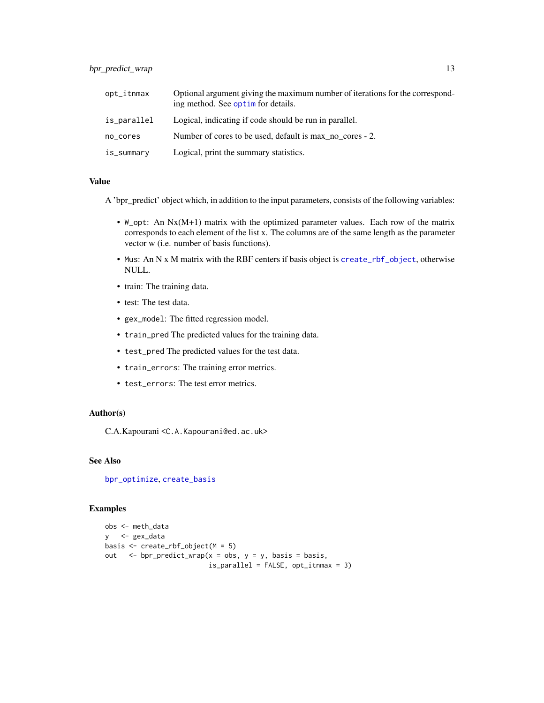<span id="page-12-0"></span>

| opt_itnmax  | Optional argument giving the maximum number of iterations for the correspond-<br>ing method. See optime for details. |
|-------------|----------------------------------------------------------------------------------------------------------------------|
| is_parallel | Logical, indicating if code should be run in parallel.                                                               |
| no_cores    | Number of cores to be used, default is max no cores - 2.                                                             |
| is_summary  | Logical, print the summary statistics.                                                                               |

A 'bpr\_predict' object which, in addition to the input parameters, consists of the following variables:

- W\_opt: An  $Nx(M+1)$  matrix with the optimized parameter values. Each row of the matrix corresponds to each element of the list x. The columns are of the same length as the parameter vector w (i.e. number of basis functions).
- Mus: An N x M matrix with the RBF centers if basis object is [create\\_rbf\\_object](#page-19-1), otherwise NULL.
- train: The training data.
- test: The test data.
- gex\_model: The fitted regression model.
- train\_pred The predicted values for the training data.
- test\_pred The predicted values for the test data.
- train\_errors: The training error metrics.
- test\_errors: The test error metrics.

## Author(s)

C.A.Kapourani <C.A.Kapourani@ed.ac.uk>

## See Also

[bpr\\_optimize](#page-8-1), [create\\_basis](#page-19-2)

## Examples

```
obs <- meth_data
y <- gex_data
basis \leq create_rbf_object(M = 5)
out \leq bpr_predict_wrap(x = obs, y = y, basis = basis,
                          is_parallel = FALSE, opt_itnmax = 3)
```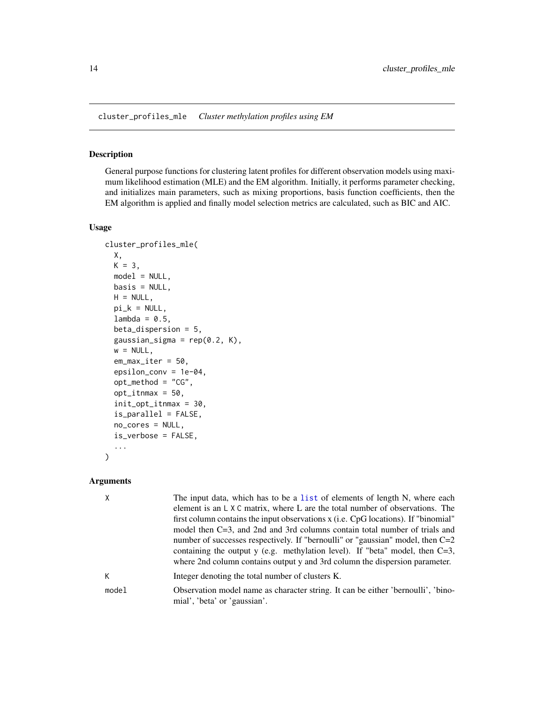<span id="page-13-1"></span><span id="page-13-0"></span>cluster\_profiles\_mle *Cluster methylation profiles using EM*

#### Description

General purpose functions for clustering latent profiles for different observation models using maximum likelihood estimation (MLE) and the EM algorithm. Initially, it performs parameter checking, and initializes main parameters, such as mixing proportions, basis function coefficients, then the EM algorithm is applied and finally model selection metrics are calculated, such as BIC and AIC.

#### Usage

```
cluster_profiles_mle(
  X,
 K = 3,model = NULL,basis = NULL,H = NULL,pi_k = NULL,lambda = 0.5,
  beta_dispersion = 5,
  gaussian_sigma = rep(0.2, K),w = NULL,em_max_iter = 50,
  epsilon_conv = 1e-04,
  opt_method = "CG",
  opt\_itnmax = 50,
  init_opt_itnmax = 30,
  is_parallel = FALSE,
  no_cores = NULL,
  is_verbose = FALSE,
  ...
)
```
## Arguments

| χ     | The input data, which has to be a list of elements of length N, where each                                                                                     |
|-------|----------------------------------------------------------------------------------------------------------------------------------------------------------------|
|       | element is an L X C matrix, where L are the total number of observations. The                                                                                  |
|       | first column contains the input observations x (i.e. CpG locations). If "binomial"                                                                             |
|       | model then $C=3$ , and 2nd and 3rd columns contain total number of trials and                                                                                  |
|       | number of successes respectively. If "bernoulli" or "gaussian" model, then $C=2$                                                                               |
|       | containing the output y (e.g. methylation level). If "beta" model, then $C=3$ ,<br>where 2nd column contains output y and 3rd column the dispersion parameter. |
| K     | Integer denoting the total number of clusters K.                                                                                                               |
| model | Observation model name as character string. It can be either 'bernoulli', 'bino-<br>mial', 'beta' or 'gaussian'.                                               |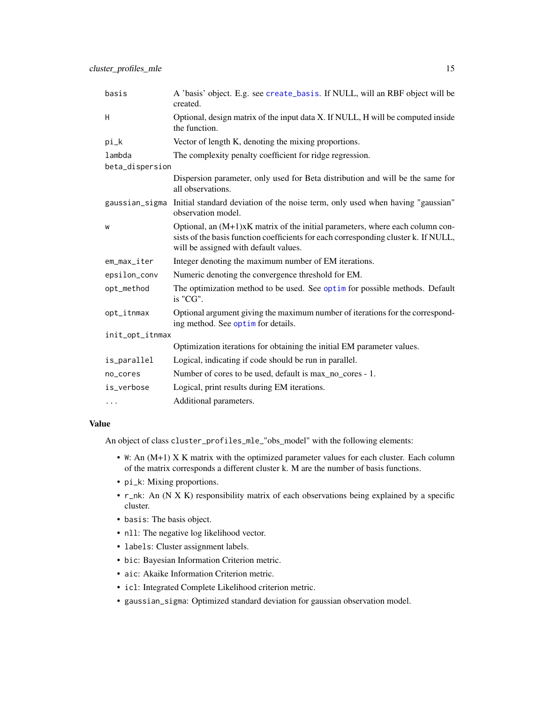<span id="page-14-0"></span>

| basis           | A 'basis' object. E.g. see create_basis. If NULL, will an RBF object will be<br>created.                                                                                                                        |  |
|-----------------|-----------------------------------------------------------------------------------------------------------------------------------------------------------------------------------------------------------------|--|
| H               | Optional, design matrix of the input data X. If NULL, H will be computed inside<br>the function.                                                                                                                |  |
| pi_k            | Vector of length K, denoting the mixing proportions.                                                                                                                                                            |  |
| lambda          | The complexity penalty coefficient for ridge regression.                                                                                                                                                        |  |
| beta_dispersion |                                                                                                                                                                                                                 |  |
|                 | Dispersion parameter, only used for Beta distribution and will be the same for<br>all observations.                                                                                                             |  |
| gaussian_sigma  | Initial standard deviation of the noise term, only used when having "gaussian"<br>observation model.                                                                                                            |  |
| W               | Optional, an $(M+1)xK$ matrix of the initial parameters, where each column con-<br>sists of the basis function coefficients for each corresponding cluster k. If NULL,<br>will be assigned with default values. |  |
| em_max_iter     | Integer denoting the maximum number of EM iterations.                                                                                                                                                           |  |
| epsilon_conv    | Numeric denoting the convergence threshold for EM.                                                                                                                                                              |  |
| opt_method      | The optimization method to be used. See optim for possible methods. Default<br>is "CG".                                                                                                                         |  |
| opt_itnmax      | Optional argument giving the maximum number of iterations for the correspond-<br>ing method. See optim for details.                                                                                             |  |
| init_opt_itnmax |                                                                                                                                                                                                                 |  |
|                 | Optimization iterations for obtaining the initial EM parameter values.                                                                                                                                          |  |
| is_parallel     | Logical, indicating if code should be run in parallel.                                                                                                                                                          |  |
| no_cores        | Number of cores to be used, default is max no cores - 1.                                                                                                                                                        |  |
| is_verbose      | Logical, print results during EM iterations.                                                                                                                                                                    |  |
| $\cdots$        | Additional parameters.                                                                                                                                                                                          |  |

An object of class cluster\_profiles\_mle\_"obs\_model" with the following elements:

- W: An (M+1) X K matrix with the optimized parameter values for each cluster. Each column of the matrix corresponds a different cluster k. M are the number of basis functions.
- pi\_k: Mixing proportions.
- r\_nk: An (N X K) responsibility matrix of each observations being explained by a specific cluster.
- basis: The basis object.
- nll: The negative log likelihood vector.
- labels: Cluster assignment labels.
- bic: Bayesian Information Criterion metric.
- aic: Akaike Information Criterion metric.
- icl: Integrated Complete Likelihood criterion metric.
- gaussian\_sigma: Optimized standard deviation for gaussian observation model.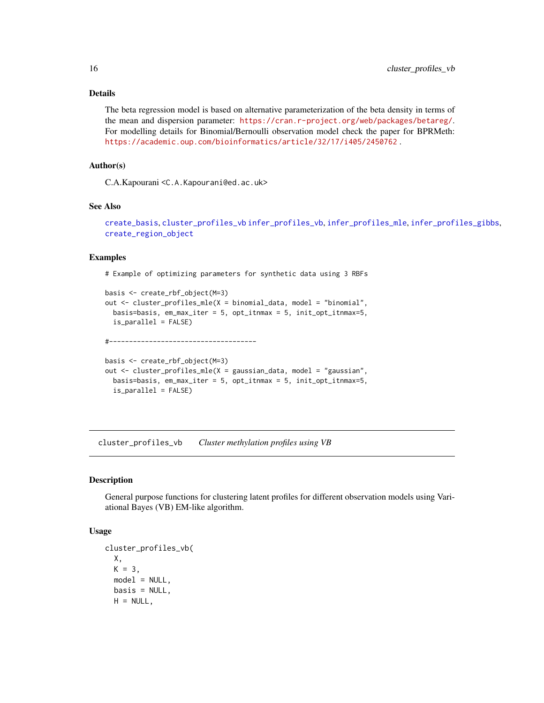## <span id="page-15-0"></span>Details

The beta regression model is based on alternative parameterization of the beta density in terms of the mean and dispersion parameter: <https://cran.r-project.org/web/packages/betareg/>. For modelling details for Binomial/Bernoulli observation model check the paper for BPRMeth: <https://academic.oup.com/bioinformatics/article/32/17/i405/2450762> .

#### Author(s)

C.A.Kapourani <C.A.Kapourani@ed.ac.uk>

#### See Also

```
create_basis, cluster_profiles_vb infer_profiles_vb, infer_profiles_mle, infer_profiles_gibbs,
create_region_object
```
#### Examples

# Example of optimizing parameters for synthetic data using 3 RBFs

```
basis <- create_rbf_object(M=3)
out <- cluster_profiles_mle(X = binomial_data, model = "binomial",
 basis=basis, em_max_iter = 5, opt_itnmax = 5, init_opt_itnmax=5,
 is_parallel = FALSE)
```
#-------------------------------------

```
basis <- create_rbf_object(M=3)
out <- cluster_profiles_mle(X = gaussian_data, model = "gaussian",
 basis=basis, em_max_iter = 5, opt_itnmax = 5, init_opt_itnmax=5,
 is_parallel = FALSE)
```
<span id="page-15-1"></span>cluster\_profiles\_vb *Cluster methylation profiles using VB*

#### **Description**

General purpose functions for clustering latent profiles for different observation models using Variational Bayes (VB) EM-like algorithm.

## Usage

```
cluster_profiles_vb(
 X,
 K = 3,
 model = NULL,basis = NULL,H = NULL,
```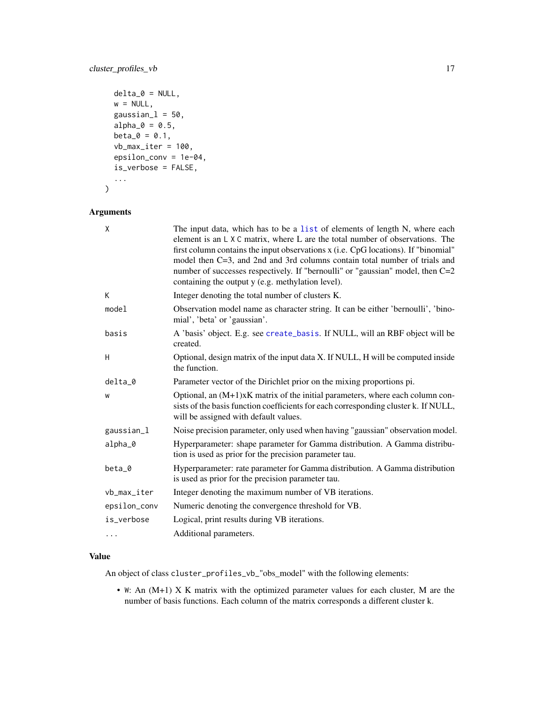```
delta_0 = NULL,w = NULL,gaussian_l = 50,
alpha_0 = 0.5,
beta_0 = 0.1,
vb_max\_iter = 100,
epsilon_conv = 1e-04,
is_verbose = FALSE,
...
```
## Arguments

 $\mathcal{L}$ 

| X            | The input data, which has to be a list of elements of length N, where each<br>element is an $L \times C$ matrix, where L are the total number of observations. The<br>first column contains the input observations x (i.e. CpG locations). If "binomial"<br>model then C=3, and 2nd and 3rd columns contain total number of trials and<br>number of successes respectively. If "bernoulli" or "gaussian" model, then C=2 |
|--------------|--------------------------------------------------------------------------------------------------------------------------------------------------------------------------------------------------------------------------------------------------------------------------------------------------------------------------------------------------------------------------------------------------------------------------|
|              | containing the output y (e.g. methylation level).                                                                                                                                                                                                                                                                                                                                                                        |
| К            | Integer denoting the total number of clusters K.                                                                                                                                                                                                                                                                                                                                                                         |
| model        | Observation model name as character string. It can be either 'bernoulli', 'bino-<br>mial', 'beta' or 'gaussian'.                                                                                                                                                                                                                                                                                                         |
| basis        | A 'basis' object. E.g. see create_basis. If NULL, will an RBF object will be<br>created.                                                                                                                                                                                                                                                                                                                                 |
| Н            | Optional, design matrix of the input data X. If NULL, H will be computed inside<br>the function.                                                                                                                                                                                                                                                                                                                         |
| delta_0      | Parameter vector of the Dirichlet prior on the mixing proportions pi.                                                                                                                                                                                                                                                                                                                                                    |
| W            | Optional, an $(M+1)xK$ matrix of the initial parameters, where each column con-<br>sists of the basis function coefficients for each corresponding cluster k. If NULL,<br>will be assigned with default values.                                                                                                                                                                                                          |
| gaussian_l   | Noise precision parameter, only used when having "gaussian" observation model.                                                                                                                                                                                                                                                                                                                                           |
| alpha_0      | Hyperparameter: shape parameter for Gamma distribution. A Gamma distribu-<br>tion is used as prior for the precision parameter tau.                                                                                                                                                                                                                                                                                      |
| beta_0       | Hyperparameter: rate parameter for Gamma distribution. A Gamma distribution<br>is used as prior for the precision parameter tau.                                                                                                                                                                                                                                                                                         |
| vb_max_iter  | Integer denoting the maximum number of VB iterations.                                                                                                                                                                                                                                                                                                                                                                    |
| epsilon_conv | Numeric denoting the convergence threshold for VB.                                                                                                                                                                                                                                                                                                                                                                       |
| is_verbose   | Logical, print results during VB iterations.                                                                                                                                                                                                                                                                                                                                                                             |
| $\cdots$     | Additional parameters.                                                                                                                                                                                                                                                                                                                                                                                                   |

## Value

An object of class cluster\_profiles\_vb\_"obs\_model" with the following elements:

• W: An (M+1) X K matrix with the optimized parameter values for each cluster, M are the number of basis functions. Each column of the matrix corresponds a different cluster k.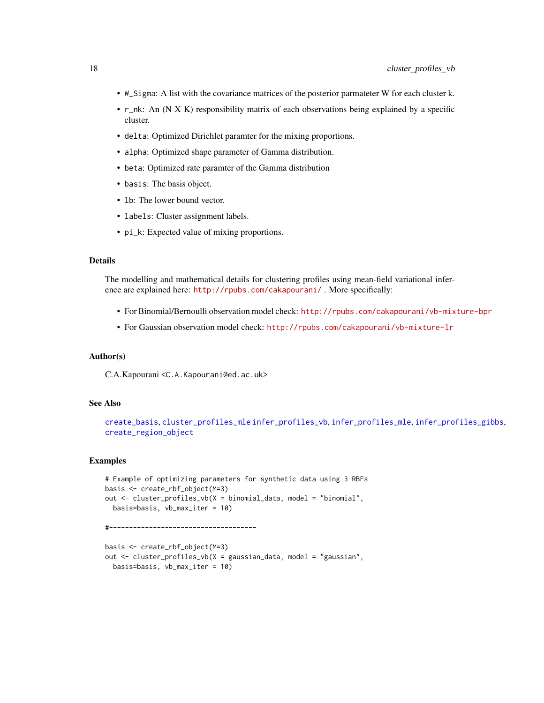- <span id="page-17-0"></span>• W\_Sigma: A list with the covariance matrices of the posterior parmateter W for each cluster k.
- r\_nk: An (N X K) responsibility matrix of each observations being explained by a specific cluster.
- delta: Optimized Dirichlet paramter for the mixing proportions.
- alpha: Optimized shape parameter of Gamma distribution.
- beta: Optimized rate paramter of the Gamma distribution
- basis: The basis object.
- lb: The lower bound vector.
- labels: Cluster assignment labels.
- pi\_k: Expected value of mixing proportions.

#### Details

The modelling and mathematical details for clustering profiles using mean-field variational inference are explained here: <http://rpubs.com/cakapourani/>. More specifically:

- For Binomial/Bernoulli observation model check: <http://rpubs.com/cakapourani/vb-mixture-bpr>
- For Gaussian observation model check: <http://rpubs.com/cakapourani/vb-mixture-lr>

## Author(s)

C.A.Kapourani <C.A.Kapourani@ed.ac.uk>

## See Also

```
create_basis, cluster_profiles_mle infer_profiles_vb, infer_profiles_mle, infer_profiles_gibbs,
create_region_object
```
#### Examples

```
# Example of optimizing parameters for synthetic data using 3 RBFs
basis <- create_rbf_object(M=3)
out <- cluster_profiles_vb(X = binomial_data, model = "binomial",
  basis=basis, vb_max_iter = 10)
#-------------------------------------
```

```
basis <- create_rbf_object(M=3)
out <- cluster_profiles_vb(X = gaussian_data, model = "gaussian",
 basis=basis, vb_max_iter = 10)
```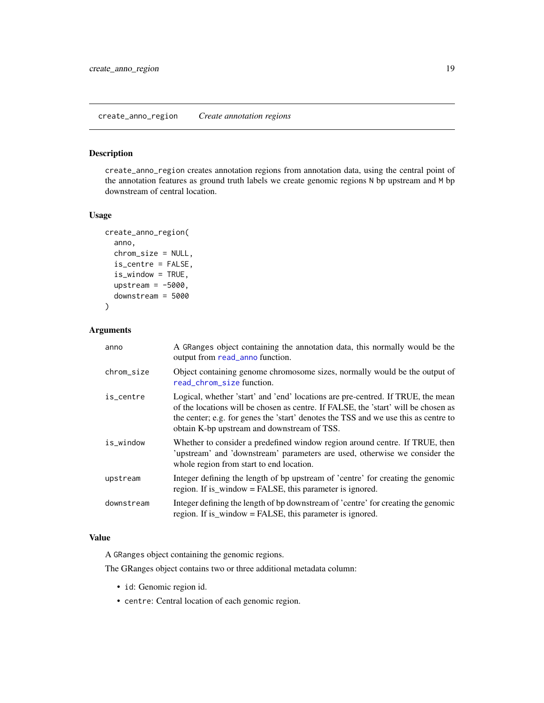## <span id="page-18-1"></span><span id="page-18-0"></span>Description

create\_anno\_region creates annotation regions from annotation data, using the central point of the annotation features as ground truth labels we create genomic regions N bp upstream and M bp downstream of central location.

#### Usage

```
create_anno_region(
  anno,
  chrom_size = NULL,
  is_centre = FALSE,
  is_window = TRUE,
  upstream = -5000,
  downstream = 5000
)
```
#### Arguments

| anno       | A GRanges object containing the annotation data, this normally would be the<br>output from read_anno function.                                                                                                                                                                                              |
|------------|-------------------------------------------------------------------------------------------------------------------------------------------------------------------------------------------------------------------------------------------------------------------------------------------------------------|
| chrom_size | Object containing genome chromosome sizes, normally would be the output of<br>read_chrom_size function.                                                                                                                                                                                                     |
| is_centre  | Logical, whether 'start' and 'end' locations are pre-centred. If TRUE, the mean<br>of the locations will be chosen as centre. If FALSE, the 'start' will be chosen as<br>the center; e.g. for genes the 'start' denotes the TSS and we use this as centre to<br>obtain K-bp upstream and downstream of TSS. |
| is_window  | Whether to consider a predefined window region around centre. If TRUE, then<br>'upstream' and 'downstream' parameters are used, otherwise we consider the<br>whole region from start to end location.                                                                                                       |
| upstream   | Integer defining the length of bp upstream of 'centre' for creating the genomic<br>region. If is_window = FALSE, this parameter is ignored.                                                                                                                                                                 |
| downstream | Integer defining the length of bp downstream of 'centre' for creating the genomic<br>region. If is_window = FALSE, this parameter is ignored.                                                                                                                                                               |

## Value

A GRanges object containing the genomic regions.

The GRanges object contains two or three additional metadata column:

- id: Genomic region id.
- centre: Central location of each genomic region.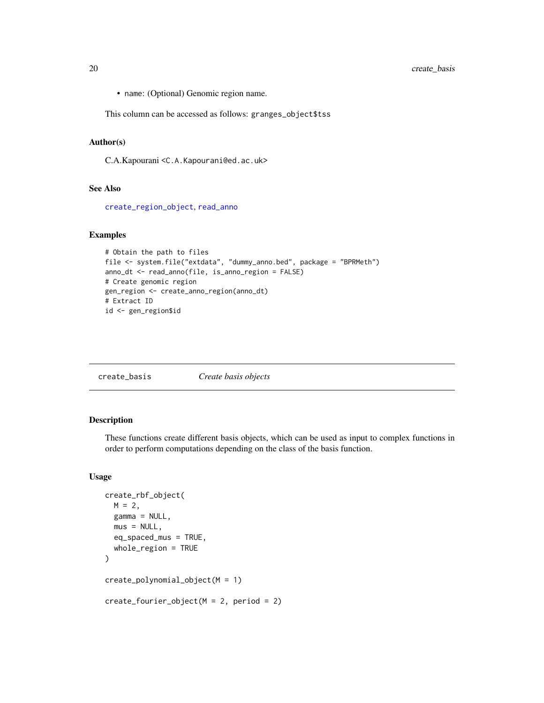<span id="page-19-0"></span>• name: (Optional) Genomic region name.

This column can be accessed as follows: granges\_object\$tss

## Author(s)

C.A.Kapourani <C.A.Kapourani@ed.ac.uk>

#### See Also

[create\\_region\\_object](#page-20-1), [read\\_anno](#page-54-1)

## Examples

```
# Obtain the path to files
file <- system.file("extdata", "dummy_anno.bed", package = "BPRMeth")
anno_dt <- read_anno(file, is_anno_region = FALSE)
# Create genomic region
gen_region <- create_anno_region(anno_dt)
# Extract ID
id <- gen_region$id
```
<span id="page-19-2"></span>

| create_basis | Create basis objects |
|--------------|----------------------|
|--------------|----------------------|

## <span id="page-19-1"></span>Description

These functions create different basis objects, which can be used as input to complex functions in order to perform computations depending on the class of the basis function.

## Usage

```
create_rbf_object(
 M = 2,
 gamma = NULL,
 mus = NULL,eq_spaced_mus = TRUE,
 whole_region = TRUE
)
create_polynomial_object(M = 1)
create_fourier\_object(M = 2, period = 2)
```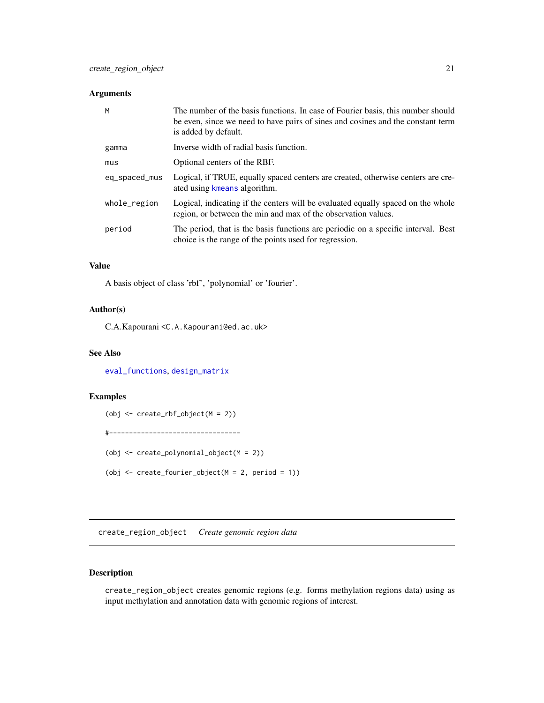## <span id="page-20-0"></span>Arguments

| M             | The number of the basis functions. In case of Fourier basis, this number should<br>be even, since we need to have pairs of sines and cosines and the constant term<br>is added by default. |
|---------------|--------------------------------------------------------------------------------------------------------------------------------------------------------------------------------------------|
| gamma         | Inverse width of radial basis function.                                                                                                                                                    |
| mus           | Optional centers of the RBF.                                                                                                                                                               |
| eq_spaced_mus | Logical, if TRUE, equally spaced centers are created, otherwise centers are cre-<br>ated using kmeans algorithm.                                                                           |
| whole_region  | Logical, indicating if the centers will be evaluated equally spaced on the whole<br>region, or between the min and max of the observation values.                                          |
| period        | The period, that is the basis functions are periodic on a specific interval. Best<br>choice is the range of the points used for regression.                                                |

#### Value

A basis object of class 'rbf', 'polynomial' or 'fourier'.

## Author(s)

C.A.Kapourani <C.A.Kapourani@ed.ac.uk>

## See Also

[eval\\_functions](#page-25-1), [design\\_matrix](#page-22-1)

## Examples

(obj <- create\_rbf\_object(M = 2)) #--------------------------------- (obj <- create\_polynomial\_object(M = 2)) (obj <- create\_fourier\_object(M = 2, period = 1))

<span id="page-20-1"></span>create\_region\_object *Create genomic region data*

## Description

create\_region\_object creates genomic regions (e.g. forms methylation regions data) using as input methylation and annotation data with genomic regions of interest.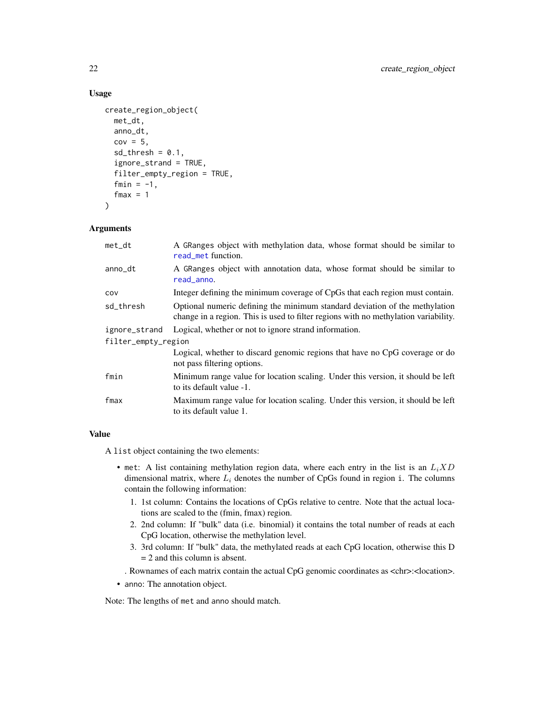#### Usage

```
create_region_object(
  met_dt,
  anno_dt,
  cov = 5,
  sd_{th}resh = 0.1,
  ignore_strand = TRUE,
  filter_empty_region = TRUE,
  fmin = -1,
  fmax = 1)
```
## Arguments

| met_dt              | A GRanges object with methylation data, whose format should be similar to<br>read_met function.                                                                    |
|---------------------|--------------------------------------------------------------------------------------------------------------------------------------------------------------------|
| anno_dt             | A GRanges object with annotation data, whose format should be similar to<br>read_anno.                                                                             |
| cov                 | Integer defining the minimum coverage of CpGs that each region must contain.                                                                                       |
| sd_thresh           | Optional numeric defining the minimum standard deviation of the methylation<br>change in a region. This is used to filter regions with no methylation variability. |
| ignore_strand       | Logical, whether or not to ignore strand information.                                                                                                              |
| filter_empty_region |                                                                                                                                                                    |
|                     | Logical, whether to discard genomic regions that have no CpG coverage or do<br>not pass filtering options.                                                         |
| fmin                | Minimum range value for location scaling. Under this version, it should be left<br>to its default value -1.                                                        |
| fmax                | Maximum range value for location scaling. Under this version, it should be left<br>to its default value 1.                                                         |
|                     |                                                                                                                                                                    |

## Value

A list object containing the two elements:

- met: A list containing methylation region data, where each entry in the list is an  $L_iXD$ dimensional matrix, where  $L_i$  denotes the number of CpGs found in region i. The columns contain the following information:
	- 1. 1st column: Contains the locations of CpGs relative to centre. Note that the actual locations are scaled to the (fmin, fmax) region.
	- 2. 2nd column: If "bulk" data (i.e. binomial) it contains the total number of reads at each CpG location, otherwise the methylation level.
	- 3. 3rd column: If "bulk" data, the methylated reads at each CpG location, otherwise this D = 2 and this column is absent.
	- . Rownames of each matrix contain the actual CpG genomic coordinates as <chr>:<location>.
- anno: The annotation object.

Note: The lengths of met and anno should match.

<span id="page-21-0"></span>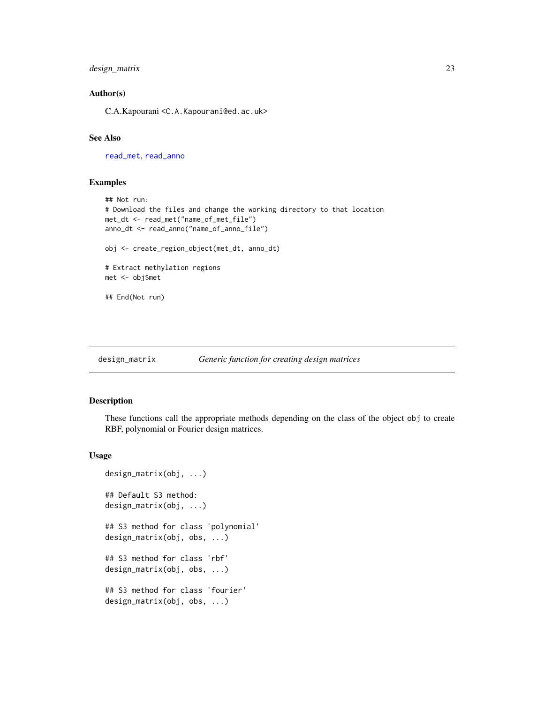## <span id="page-22-0"></span>design\_matrix 23

#### Author(s)

C.A.Kapourani <C.A.Kapourani@ed.ac.uk>

## See Also

[read\\_met](#page-59-1), [read\\_anno](#page-54-1)

#### Examples

```
## Not run:
# Download the files and change the working directory to that location
met_dt <- read_met("name_of_met_file")
anno_dt <- read_anno("name_of_anno_file")
obj <- create_region_object(met_dt, anno_dt)
# Extract methylation regions
met <- obj$met
## End(Not run)
```
<span id="page-22-1"></span>design\_matrix *Generic function for creating design matrices*

## Description

These functions call the appropriate methods depending on the class of the object obj to create RBF, polynomial or Fourier design matrices.

#### Usage

```
design_matrix(obj, ...)
## Default S3 method:
design_matrix(obj, ...)
## S3 method for class 'polynomial'
design_matrix(obj, obs, ...)
## S3 method for class 'rbf'
design_matrix(obj, obs, ...)
## S3 method for class 'fourier'
design_matrix(obj, obs, ...)
```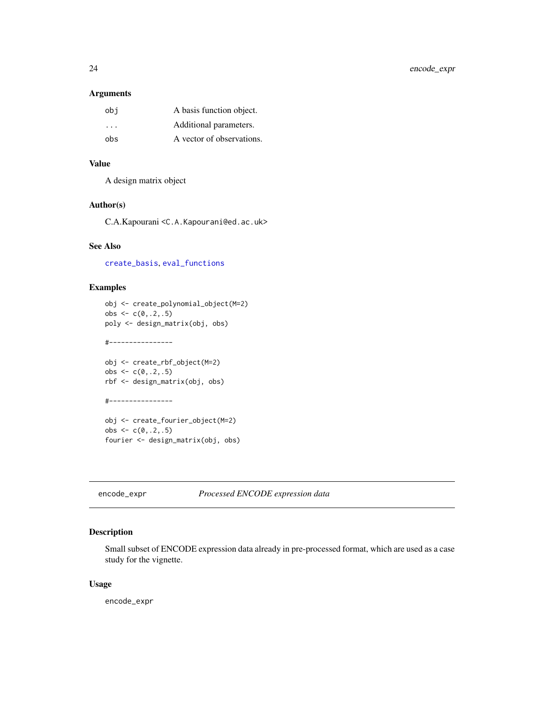#### <span id="page-23-0"></span>Arguments

| obi | A basis function object.  |
|-----|---------------------------|
| .   | Additional parameters.    |
| obs | A vector of observations. |

#### Value

A design matrix object

## Author(s)

C.A.Kapourani <C.A.Kapourani@ed.ac.uk>

#### See Also

[create\\_basis](#page-19-2), [eval\\_functions](#page-25-1)

## Examples

```
obj <- create_polynomial_object(M=2)
obs \leq c(0, 2, .5)poly <- design_matrix(obj, obs)
#----------------
obj <- create_rbf_object(M=2)
obs \leq c(0, .2, .5)rbf <- design_matrix(obj, obs)
#----------------
```
obj <- create\_fourier\_object(M=2) obs  $\leq c(0, .2, .5)$ fourier <- design\_matrix(obj, obs)

encode\_expr *Processed ENCODE expression data*

## Description

Small subset of ENCODE expression data already in pre-processed format, which are used as a case study for the vignette.

#### Usage

encode\_expr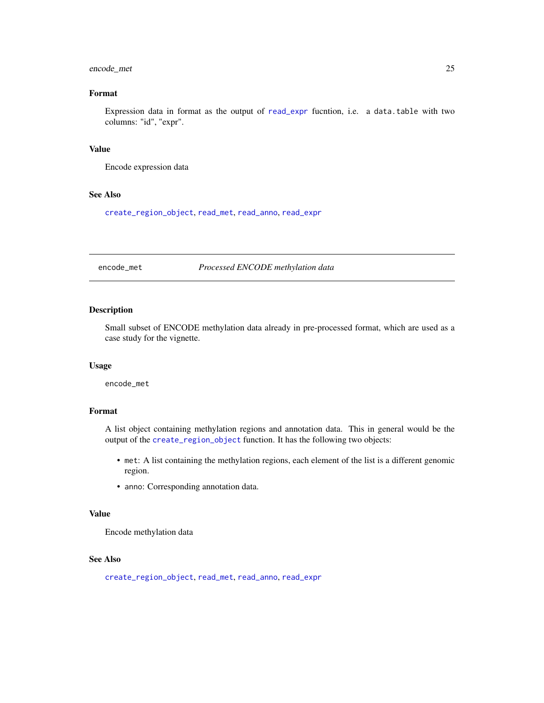## <span id="page-24-0"></span>encode\_met 25

## Format

Expression data in format as the output of [read\\_expr](#page-58-1) fucntion, i.e. a data.table with two columns: "id", "expr".

#### Value

Encode expression data

## See Also

[create\\_region\\_object](#page-20-1), [read\\_met](#page-59-1), [read\\_anno](#page-54-1), [read\\_expr](#page-58-1)

encode\_met *Processed ENCODE methylation data*

## Description

Small subset of ENCODE methylation data already in pre-processed format, which are used as a case study for the vignette.

#### Usage

encode\_met

## Format

A list object containing methylation regions and annotation data. This in general would be the output of the [create\\_region\\_object](#page-20-1) function. It has the following two objects:

- met: A list containing the methylation regions, each element of the list is a different genomic region.
- anno: Corresponding annotation data.

## Value

Encode methylation data

#### See Also

[create\\_region\\_object](#page-20-1), [read\\_met](#page-59-1), [read\\_anno](#page-54-1), [read\\_expr](#page-58-1)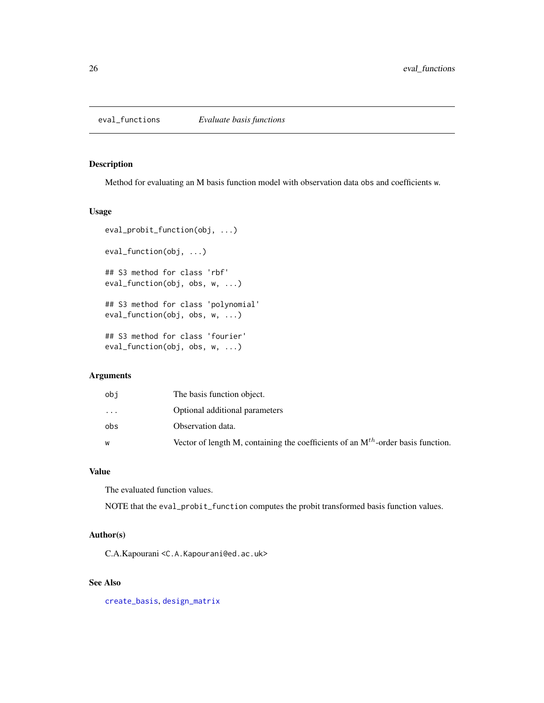## <span id="page-25-1"></span><span id="page-25-0"></span>Description

Method for evaluating an M basis function model with observation data obs and coefficients w.

## Usage

```
eval_probit_function(obj, ...)
eval_function(obj, ...)
## S3 method for class 'rbf'
eval_function(obj, obs, w, ...)
## S3 method for class 'polynomial'
eval_function(obj, obs, w, ...)
## S3 method for class 'fourier'
eval_function(obj, obs, w, ...)
```
## Arguments

| obi | The basis function object.                                                            |
|-----|---------------------------------------------------------------------------------------|
| .   | Optional additional parameters                                                        |
| obs | Observation data.                                                                     |
|     | Vector of length M, containing the coefficients of an $M^{th}$ -order basis function. |
|     |                                                                                       |

## Value

The evaluated function values.

NOTE that the eval\_probit\_function computes the probit transformed basis function values.

## Author(s)

C.A.Kapourani <C.A.Kapourani@ed.ac.uk>

## See Also

[create\\_basis](#page-19-2), [design\\_matrix](#page-22-1)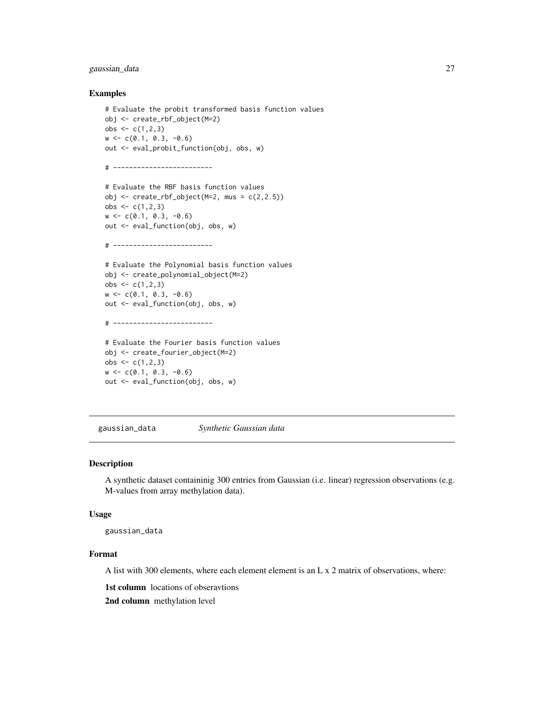## <span id="page-26-0"></span>gaussian\_data 27

#### Examples

```
# Evaluate the probit transformed basis function values
obj <- create_rbf_object(M=2)
obs <- c(1,2,3)
w \leq -c(0.1, 0.3, -0.6)out <- eval_probit_function(obj, obs, w)
# -------------------------
# Evaluate the RBF basis function values
obj \le create_rbf_object(M=2, mus = c(2,2.5))
obs <- c(1,2,3)
w <- c(0.1, 0.3, -0.6)
out <- eval_function(obj, obs, w)
# -------------------------
# Evaluate the Polynomial basis function values
obj <- create_polynomial_object(M=2)
obs \leq c(1, 2, 3)w \leq -c(0.1, 0.3, -0.6)out <- eval_function(obj, obs, w)
# -------------------------
# Evaluate the Fourier basis function values
obj <- create_fourier_object(M=2)
obs <- c(1,2,3)
w \leq c(0.1, 0.3, -0.6)out <- eval_function(obj, obs, w)
```
<span id="page-26-1"></span>gaussian\_data *Synthetic Gaussian data*

#### Description

A synthetic dataset containinig 300 entries from Gaussian (i.e. linear) regression observations (e.g. M-values from array methylation data).

#### Usage

gaussian\_data

## Format

A list with 300 elements, where each element element is an L x 2 matrix of observations, where:

1st column locations of obseravtions

2nd column methylation level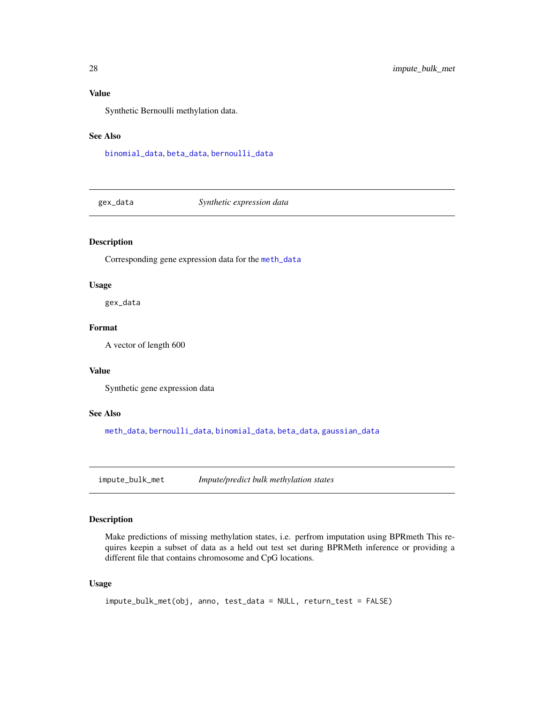<span id="page-27-0"></span>Synthetic Bernoulli methylation data.

## See Also

[binomial\\_data](#page-3-1), [beta\\_data](#page-2-1), [bernoulli\\_data](#page-2-2)

<span id="page-27-1"></span>gex\_data *Synthetic expression data*

## Description

Corresponding gene expression data for the [meth\\_data](#page-37-1)

#### Usage

gex\_data

## Format

A vector of length 600

## Value

Synthetic gene expression data

#### See Also

[meth\\_data](#page-37-1), [bernoulli\\_data](#page-2-2), [binomial\\_data](#page-3-1), [beta\\_data](#page-2-1), [gaussian\\_data](#page-26-1)

<span id="page-27-2"></span>impute\_bulk\_met *Impute/predict bulk methylation states*

## Description

Make predictions of missing methylation states, i.e. perfrom imputation using BPRmeth This requires keepin a subset of data as a held out test set during BPRMeth inference or providing a different file that contains chromosome and CpG locations.

#### Usage

```
impute_bulk_met(obj, anno, test_data = NULL, return_test = FALSE)
```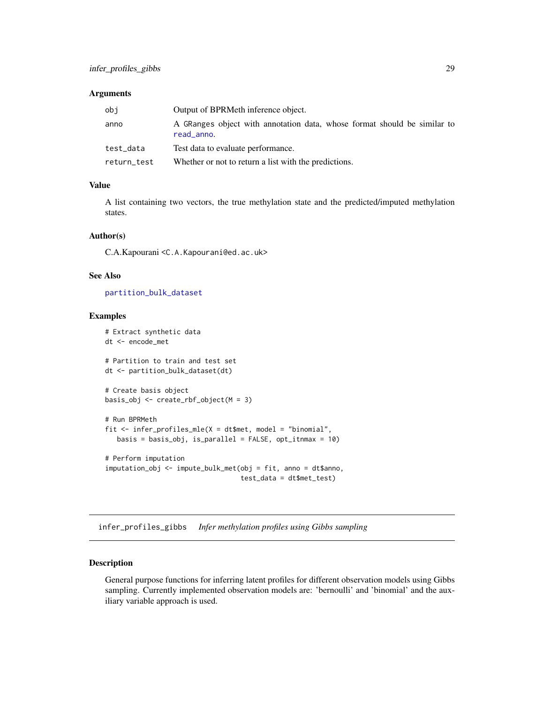#### <span id="page-28-0"></span>**Arguments**

| obi         | Output of BPRMeth inference object.                                                    |
|-------------|----------------------------------------------------------------------------------------|
| anno        | A GRanges object with annotation data, whose format should be similar to<br>read_anno. |
| test_data   | Test data to evaluate performance.                                                     |
| return_test | Whether or not to return a list with the predictions.                                  |

## Value

A list containing two vectors, the true methylation state and the predicted/imputed methylation states.

#### Author(s)

C.A.Kapourani <C.A.Kapourani@ed.ac.uk>

#### See Also

[partition\\_bulk\\_dataset](#page-41-1)

#### Examples

```
# Extract synthetic data
dt <- encode_met
# Partition to train and test set
dt <- partition_bulk_dataset(dt)
# Create basis object
basis_obj <- create_rbf_object(M = 3)
# Run BPRMeth
fit <- infer_profiles_mle(X = dt$met, model = "binomial",
   basis = basis_obj, is_parallel = FALSE, opt_itnmax = 10)
# Perform imputation
imputation_obj <- impute_bulk_met(obj = fit, anno = dt$anno,
                                  test_data = dt$met_test)
```
<span id="page-28-1"></span>infer\_profiles\_gibbs *Infer methylation profiles using Gibbs sampling*

#### Description

General purpose functions for inferring latent profiles for different observation models using Gibbs sampling. Currently implemented observation models are: 'bernoulli' and 'binomial' and the auxiliary variable approach is used.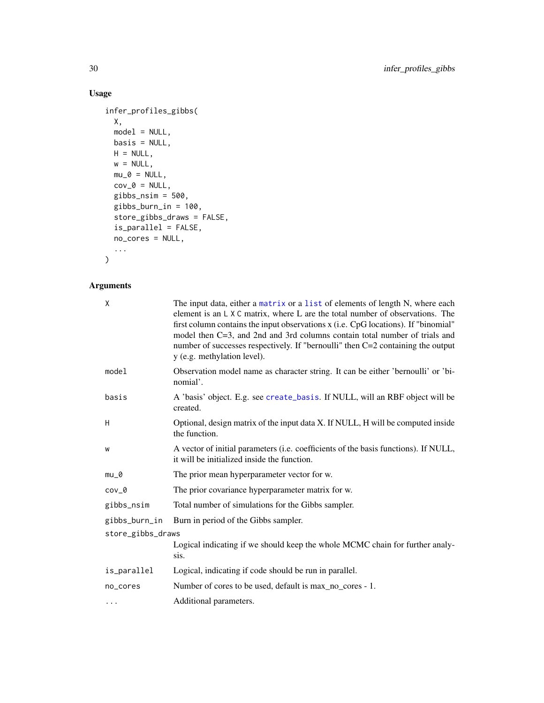## Usage

```
infer_profiles_gibbs(
 X,
 model = NULL,
 basis = NULL,
 H = NULL,w = NULL,mu_0 = NULL,cov_0 = NULL,gibbs_nsim = 500,
 gibbs_burn_in = 100,
 store_gibbs_draws = FALSE,
 is_parallel = FALSE,
 no_cores = NULL,
  ...
\mathcal{L}
```
## Arguments

| $\mathsf{X}$      | The input data, either a matrix or a list of elements of length N, where each<br>element is an L X C matrix, where L are the total number of observations. The<br>first column contains the input observations x (i.e. CpG locations). If "binomial"<br>model then C=3, and 2nd and 3rd columns contain total number of trials and<br>number of successes respectively. If "bernoulli" then C=2 containing the output<br>y (e.g. methylation level). |  |
|-------------------|------------------------------------------------------------------------------------------------------------------------------------------------------------------------------------------------------------------------------------------------------------------------------------------------------------------------------------------------------------------------------------------------------------------------------------------------------|--|
| model             | Observation model name as character string. It can be either 'bernoulli' or 'bi-<br>nomial'.                                                                                                                                                                                                                                                                                                                                                         |  |
| basis             | A 'basis' object. E.g. see create_basis. If NULL, will an RBF object will be<br>created.                                                                                                                                                                                                                                                                                                                                                             |  |
| H                 | Optional, design matrix of the input data X. If NULL, H will be computed inside<br>the function.                                                                                                                                                                                                                                                                                                                                                     |  |
| W                 | A vector of initial parameters (i.e. coefficients of the basis functions). If NULL,<br>it will be initialized inside the function.                                                                                                                                                                                                                                                                                                                   |  |
| $mu_0$            | The prior mean hyperparameter vector for w.                                                                                                                                                                                                                                                                                                                                                                                                          |  |
| $cov_0$           | The prior covariance hyperparameter matrix for w.                                                                                                                                                                                                                                                                                                                                                                                                    |  |
| gibbs_nsim        | Total number of simulations for the Gibbs sampler.                                                                                                                                                                                                                                                                                                                                                                                                   |  |
| gibbs_burn_in     | Burn in period of the Gibbs sampler.                                                                                                                                                                                                                                                                                                                                                                                                                 |  |
| store_gibbs_draws |                                                                                                                                                                                                                                                                                                                                                                                                                                                      |  |
|                   | Logical indicating if we should keep the whole MCMC chain for further analy-<br>sis.                                                                                                                                                                                                                                                                                                                                                                 |  |
| is_parallel       | Logical, indicating if code should be run in parallel.                                                                                                                                                                                                                                                                                                                                                                                               |  |
| no_cores          | Number of cores to be used, default is max_no_cores - 1.                                                                                                                                                                                                                                                                                                                                                                                             |  |
| $\cdots$          | Additional parameters.                                                                                                                                                                                                                                                                                                                                                                                                                               |  |

<span id="page-29-0"></span>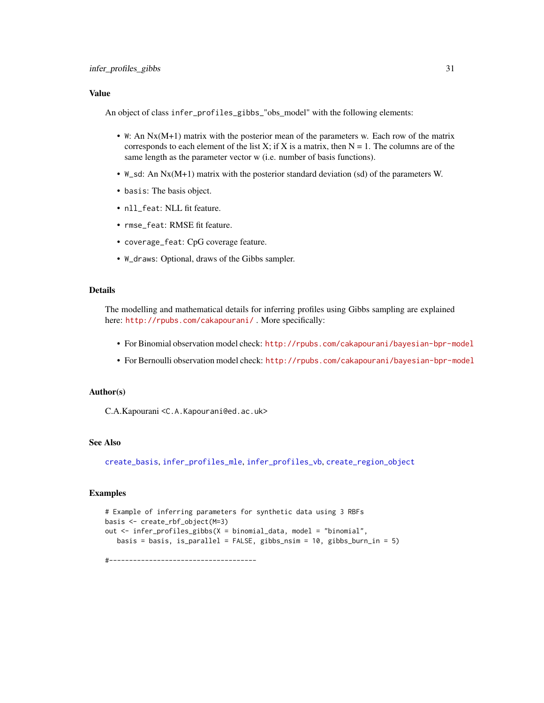<span id="page-30-0"></span>An object of class infer\_profiles\_gibbs\_"obs\_model" with the following elements:

- W: An Nx(M+1) matrix with the posterior mean of the parameters w. Each row of the matrix corresponds to each element of the list X; if X is a matrix, then  $N = 1$ . The columns are of the same length as the parameter vector w (i.e. number of basis functions).
- W\_sd: An Nx(M+1) matrix with the posterior standard deviation (sd) of the parameters W.
- basis: The basis object.
- nll\_feat: NLL fit feature.
- rmse\_feat: RMSE fit feature.
- coverage\_feat: CpG coverage feature.
- W\_draws: Optional, draws of the Gibbs sampler.

#### Details

The modelling and mathematical details for inferring profiles using Gibbs sampling are explained here: <http://rpubs.com/cakapourani/>. More specifically:

- For Binomial observation model check: <http://rpubs.com/cakapourani/bayesian-bpr-model>
- For Bernoulli observation model check: <http://rpubs.com/cakapourani/bayesian-bpr-model>

## Author(s)

C.A.Kapourani <C.A.Kapourani@ed.ac.uk>

#### See Also

[create\\_basis](#page-19-2), [infer\\_profiles\\_mle](#page-31-1), [infer\\_profiles\\_vb](#page-33-1), [create\\_region\\_object](#page-20-1)

## Examples

```
# Example of inferring parameters for synthetic data using 3 RBFs
basis <- create_rbf_object(M=3)
out <- infer_profiles_gibbs(X = binomial_data, model = "binomial",
  basis = basis, is_parallel = FALSE, gibbs_nsim = 10, gibbs_burn_in = 5)
```
#-------------------------------------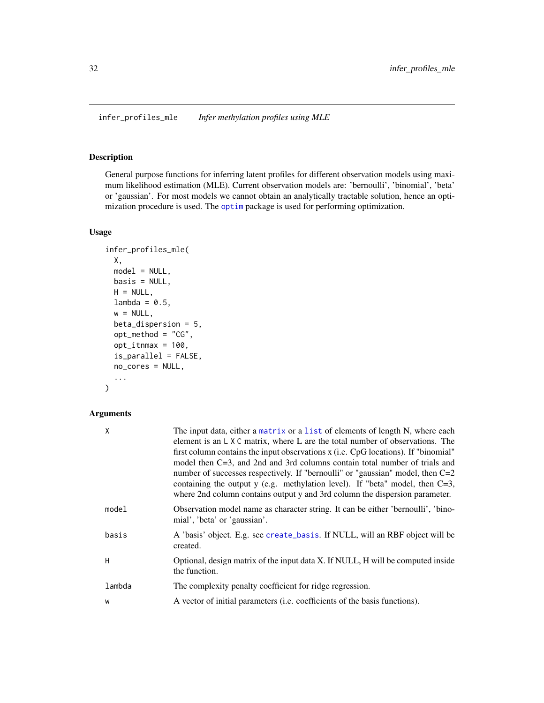<span id="page-31-1"></span><span id="page-31-0"></span>infer\_profiles\_mle *Infer methylation profiles using MLE*

## Description

General purpose functions for inferring latent profiles for different observation models using maximum likelihood estimation (MLE). Current observation models are: 'bernoulli', 'binomial', 'beta' or 'gaussian'. For most models we cannot obtain an analytically tractable solution, hence an optimization procedure is used. The [optim](#page-0-0) package is used for performing optimization.

## Usage

```
infer_profiles_mle(
 X,
 model = NULL,basis = NULL,H = NULL,lambda = 0.5,
 w = NULL,beta_dispersion = 5,
 opt\_method = "CG",opt_itnmax = 100,
 is_parallel = FALSE,
 no_cores = NULL,
  ...
)
```
## Arguments

| The input data, either a matrix or a list of elements of length N, where each<br>element is an $L \times C$ matrix, where L are the total number of observations. The<br>first column contains the input observations x (i.e. CpG locations). If "binomial"<br>model then C=3, and 2nd and 3rd columns contain total number of trials and<br>number of successes respectively. If "bernoulli" or "gaussian" model, then C=2<br>containing the output y (e.g. methylation level). If "beta" model, then $C=3$ ,<br>where 2nd column contains output y and 3rd column the dispersion parameter. |
|-----------------------------------------------------------------------------------------------------------------------------------------------------------------------------------------------------------------------------------------------------------------------------------------------------------------------------------------------------------------------------------------------------------------------------------------------------------------------------------------------------------------------------------------------------------------------------------------------|
| Observation model name as character string. It can be either 'bernoulli', 'bino-<br>mial', 'beta' or 'gaussian'.                                                                                                                                                                                                                                                                                                                                                                                                                                                                              |
| A 'basis' object. E.g. see create_basis. If NULL, will an RBF object will be<br>created.                                                                                                                                                                                                                                                                                                                                                                                                                                                                                                      |
| Optional, design matrix of the input data X. If NULL, H will be computed inside<br>the function.                                                                                                                                                                                                                                                                                                                                                                                                                                                                                              |
| The complexity penalty coefficient for ridge regression.                                                                                                                                                                                                                                                                                                                                                                                                                                                                                                                                      |
| A vector of initial parameters (i.e. coefficients of the basis functions).                                                                                                                                                                                                                                                                                                                                                                                                                                                                                                                    |
|                                                                                                                                                                                                                                                                                                                                                                                                                                                                                                                                                                                               |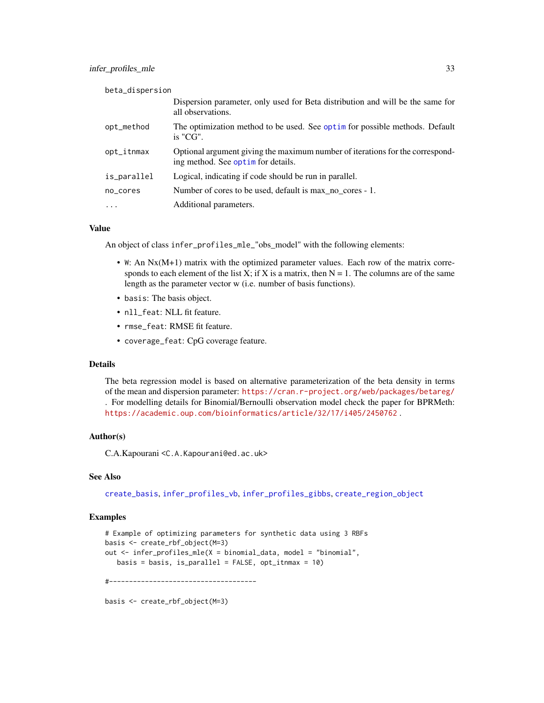<span id="page-32-0"></span>

| beta_dispersion |                                                                                                                     |
|-----------------|---------------------------------------------------------------------------------------------------------------------|
|                 | Dispersion parameter, only used for Beta distribution and will be the same for<br>all observations.                 |
| opt_method      | The optimization method to be used. See optim for possible methods. Default<br>$i$ s "CG".                          |
| opt_itnmax      | Optional argument giving the maximum number of iterations for the correspond-<br>ing method. See optim for details. |
| is_parallel     | Logical, indicating if code should be run in parallel.                                                              |
| no_cores        | Number of cores to be used, default is max no cores - 1.                                                            |
| $\ddots$        | Additional parameters.                                                                                              |

An object of class infer\_profiles\_mle\_"obs\_model" with the following elements:

- W: An Nx(M+1) matrix with the optimized parameter values. Each row of the matrix corresponds to each element of the list X; if X is a matrix, then  $N = 1$ . The columns are of the same length as the parameter vector w (i.e. number of basis functions).
- basis: The basis object.
- nll\_feat: NLL fit feature.
- rmse\_feat: RMSE fit feature.
- coverage\_feat: CpG coverage feature.

#### Details

The beta regression model is based on alternative parameterization of the beta density in terms of the mean and dispersion parameter: <https://cran.r-project.org/web/packages/betareg/> . For modelling details for Binomial/Bernoulli observation model check the paper for BPRMeth: <https://academic.oup.com/bioinformatics/article/32/17/i405/2450762> .

## Author(s)

C.A.Kapourani <C.A.Kapourani@ed.ac.uk>

## See Also

[create\\_basis](#page-19-2), [infer\\_profiles\\_vb](#page-33-1), [infer\\_profiles\\_gibbs](#page-28-1), [create\\_region\\_object](#page-20-1)

#### Examples

```
# Example of optimizing parameters for synthetic data using 3 RBFs
basis <- create_rbf_object(M=3)
out <- infer_profiles_mle(X = binomial_data, model = "binomial",
  basis = basis, is\_parallel = FALSE, opt\_itmmax = 10)
```
#-------------------------------------

basis <- create\_rbf\_object(M=3)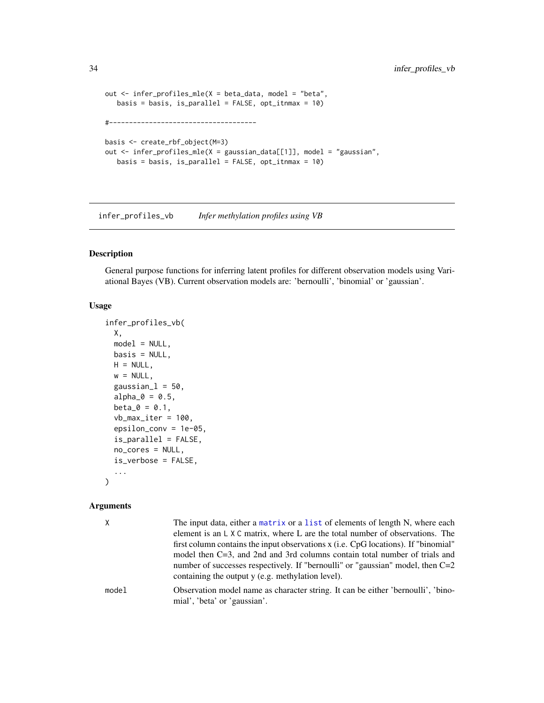```
out <- infer_profiles_mle(X = beta_data, model = "beta",
   basis = basis, is_parallel = FALSE, opt_itnmax = 10)
#-------------------------------------
basis <- create_rbf_object(M=3)
out <- infer_profiles_mle(X = gaussian_data[[1]], model = "gaussian",
  basis = basis, is_parallel = FALSE, opt_itnmax = 10)
```
<span id="page-33-1"></span>infer\_profiles\_vb *Infer methylation profiles using VB*

## Description

General purpose functions for inferring latent profiles for different observation models using Variational Bayes (VB). Current observation models are: 'bernoulli', 'binomial' or 'gaussian'.

#### Usage

```
infer_profiles_vb(
 X,
 model = NULL,
 basis = NULL,H = NULL,w = NULL,gaussianl = 50,
 alpha_0 = 0.5,
 beta_0 = 0.1,
 vb_max\_iter = 100,
  epsilon_conv = 1e-05,
  is_parallel = FALSE,
 no_cores = NULL,
 is_verbose = FALSE,
  ...
\mathcal{L}
```
#### Arguments

| X     | The input data, either a matrix or a list of elements of length N, where each<br>element is an $L \times C$ matrix, where L are the total number of observations. The |
|-------|-----------------------------------------------------------------------------------------------------------------------------------------------------------------------|
|       | first column contains the input observations x (i.e. CpG locations). If "binomial"                                                                                    |
|       | model then C=3, and 2nd and 3rd columns contain total number of trials and                                                                                            |
|       | number of successes respectively. If "bernoulli" or "gaussian" model, then $C=2$<br>containing the output y (e.g. methylation level).                                 |
| model | Observation model name as character string. It can be either 'bernoulli', 'bino-<br>mial', 'beta' or 'gaussian'.                                                      |

<span id="page-33-0"></span>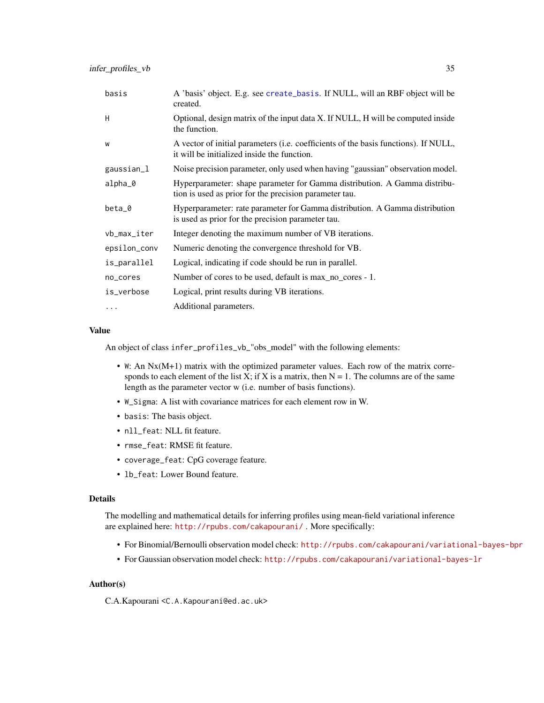<span id="page-34-0"></span>

| basis        | A 'basis' object. E.g. see create_basis. If NULL, will an RBF object will be<br>created.                                            |
|--------------|-------------------------------------------------------------------------------------------------------------------------------------|
| H            | Optional, design matrix of the input data X. If NULL, H will be computed inside<br>the function.                                    |
| W            | A vector of initial parameters (i.e. coefficients of the basis functions). If NULL,<br>it will be initialized inside the function.  |
| gaussian_l   | Noise precision parameter, only used when having "gaussian" observation model.                                                      |
| alpha_0      | Hyperparameter: shape parameter for Gamma distribution. A Gamma distribu-<br>tion is used as prior for the precision parameter tau. |
| beta_0       | Hyperparameter: rate parameter for Gamma distribution. A Gamma distribution<br>is used as prior for the precision parameter tau.    |
| vb_max_iter  | Integer denoting the maximum number of VB iterations.                                                                               |
| epsilon_conv | Numeric denoting the convergence threshold for VB.                                                                                  |
| is_parallel  | Logical, indicating if code should be run in parallel.                                                                              |
| no_cores     | Number of cores to be used, default is max_no_cores - 1.                                                                            |
| is_verbose   | Logical, print results during VB iterations.                                                                                        |
| .            | Additional parameters.                                                                                                              |

An object of class infer\_profiles\_vb\_"obs\_model" with the following elements:

- W: An Nx(M+1) matrix with the optimized parameter values. Each row of the matrix corresponds to each element of the list X; if X is a matrix, then  $N = 1$ . The columns are of the same length as the parameter vector w (i.e. number of basis functions).
- W\_Sigma: A list with covariance matrices for each element row in W.
- basis: The basis object.
- nll\_feat: NLL fit feature.
- rmse\_feat: RMSE fit feature.
- coverage\_feat: CpG coverage feature.
- lb\_feat: Lower Bound feature.

#### Details

The modelling and mathematical details for inferring profiles using mean-field variational inference are explained here: <http://rpubs.com/cakapourani/> . More specifically:

- For Binomial/Bernoulli observation model check: <http://rpubs.com/cakapourani/variational-bayes-bpr>
- For Gaussian observation model check: <http://rpubs.com/cakapourani/variational-bayes-lr>

#### Author(s)

C.A.Kapourani <C.A.Kapourani@ed.ac.uk>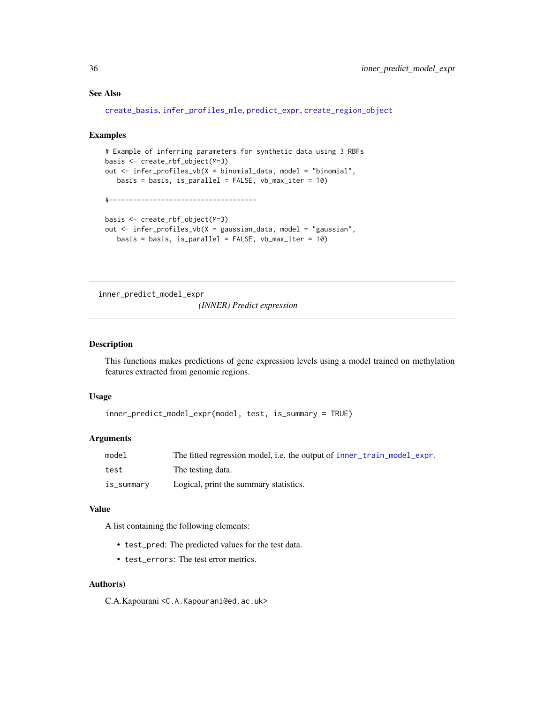## <span id="page-35-0"></span>See Also

```
create_basis, infer_profiles_mle, predict_expr, create_region_object
```
#### Examples

```
# Example of inferring parameters for synthetic data using 3 RBFs
basis <- create_rbf_object(M=3)
out <- infer_profiles_vb(X = binomial_data, model = "binomial",
   basis = basis, is_parallel = FALSE, vb_max_iter = 10)
#-------------------------------------
basis <- create_rbf_object(M=3)
out <- infer_profiles_vb(X = gaussian_data, model = "gaussian",
   basis = basis, is_parallel = FALSE, vb_max_iter = 10)
```
inner\_predict\_model\_expr *(INNER) Predict expression*

## Description

This functions makes predictions of gene expression levels using a model trained on methylation features extracted from genomic regions.

## Usage

```
inner_predict_model_expr(model, test, is_summary = TRUE)
```
#### Arguments

| model      | The fitted regression model, i.e. the output of inner_train_model_expr. |
|------------|-------------------------------------------------------------------------|
| test       | The testing data.                                                       |
| is_summary | Logical, print the summary statistics.                                  |

#### Value

A list containing the following elements:

- test\_pred: The predicted values for the test data.
- test\_errors: The test error metrics.

#### Author(s)

C.A.Kapourani <C.A.Kapourani@ed.ac.uk>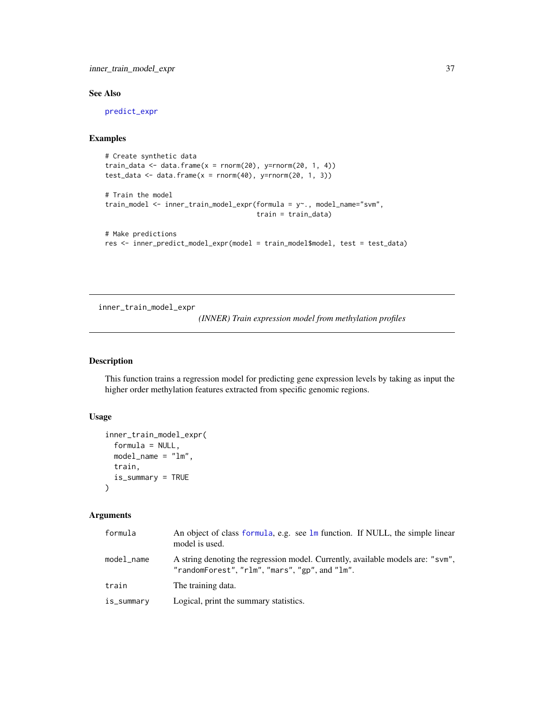## <span id="page-36-0"></span>inner\_train\_model\_expr 37

## See Also

[predict\\_expr](#page-46-1)

## Examples

```
# Create synthetic data
train_data \leftarrow data-frame(x = norm(20), y=rnorm(20, 1, 4))test_data <- data.frame(x = rnorm(40), y=rnorm(20, 1, 3))# Train the model
train_model <- inner_train_model_expr(formula = y~., model_name="svm",
                                      train = train_data)
# Make predictions
```

```
res <- inner_predict_model_expr(model = train_model$model, test = test_data)
```
<span id="page-36-1"></span>inner\_train\_model\_expr

*(INNER) Train expression model from methylation profiles*

## Description

This function trains a regression model for predicting gene expression levels by taking as input the higher order methylation features extracted from specific genomic regions.

## Usage

```
inner_train_model_expr(
  formula = NULL,model_name = "lm",
 train,
  is_summary = TRUE
)
```
#### Arguments

| formula    | An object of class formula, e.g. see lm function. If NULL, the simple linear<br>model is used.                                    |
|------------|-----------------------------------------------------------------------------------------------------------------------------------|
| model name | A string denoting the regression model. Currently, available models are: "sym",<br>"randomForest", "rlm", "mars", "gp", and "lm". |
| train      | The training data.                                                                                                                |
| is_summary | Logical, print the summary statistics.                                                                                            |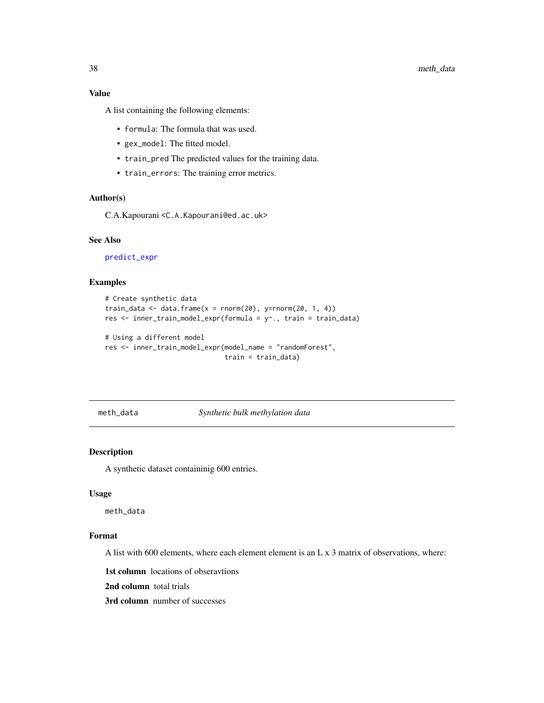<span id="page-37-0"></span>A list containing the following elements:

- formula: The formula that was used.
- gex\_model: The fitted model.
- train\_pred The predicted values for the training data.
- train\_errors: The training error metrics.

## Author(s)

C.A.Kapourani <C.A.Kapourani@ed.ac.uk>

## See Also

[predict\\_expr](#page-46-1)

#### Examples

```
# Create synthetic data
train_data <- data.frame(x = rnorm(20), y=rnorm(20, 1, 4))res <- inner_train_model_expr(formula = y~., train = train_data)
# Using a different model
res <- inner_train_model_expr(model_name = "randomForest",
                              train = train_data)
```
<span id="page-37-1"></span>meth\_data *Synthetic bulk methylation data*

#### Description

A synthetic dataset containinig 600 entries.

#### Usage

meth\_data

#### Format

A list with 600 elements, where each element element is an L x 3 matrix of observations, where:

1st column locations of obseravtions

2nd column total trials

3rd column number of successes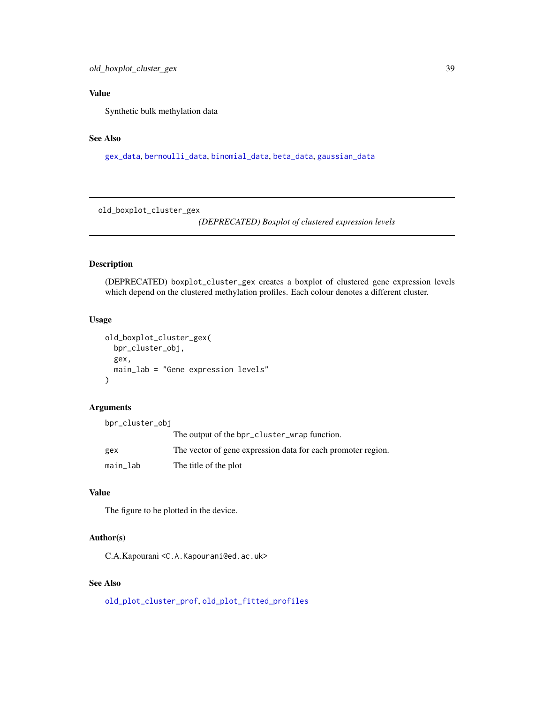<span id="page-38-0"></span>Synthetic bulk methylation data

## See Also

[gex\\_data](#page-27-1), [bernoulli\\_data](#page-2-2), [binomial\\_data](#page-3-1), [beta\\_data](#page-2-1), [gaussian\\_data](#page-26-1)

<span id="page-38-1"></span>old\_boxplot\_cluster\_gex

*(DEPRECATED) Boxplot of clustered expression levels*

## Description

(DEPRECATED) boxplot\_cluster\_gex creates a boxplot of clustered gene expression levels which depend on the clustered methylation profiles. Each colour denotes a different cluster.

## Usage

```
old_boxplot_cluster_gex(
  bpr_cluster_obj,
  gex,
  main_lab = "Gene expression levels"
\mathcal{E}
```
#### Arguments

| bpr_cluster_obj |                                                              |
|-----------------|--------------------------------------------------------------|
|                 | The output of the bpr_cluster_wrap function.                 |
| gex             | The vector of gene expression data for each promoter region. |
| main_lab        | The title of the plot                                        |

## Value

The figure to be plotted in the device.

## Author(s)

C.A.Kapourani <C.A.Kapourani@ed.ac.uk>

## See Also

[old\\_plot\\_cluster\\_prof](#page-39-1), [old\\_plot\\_fitted\\_profiles](#page-40-1)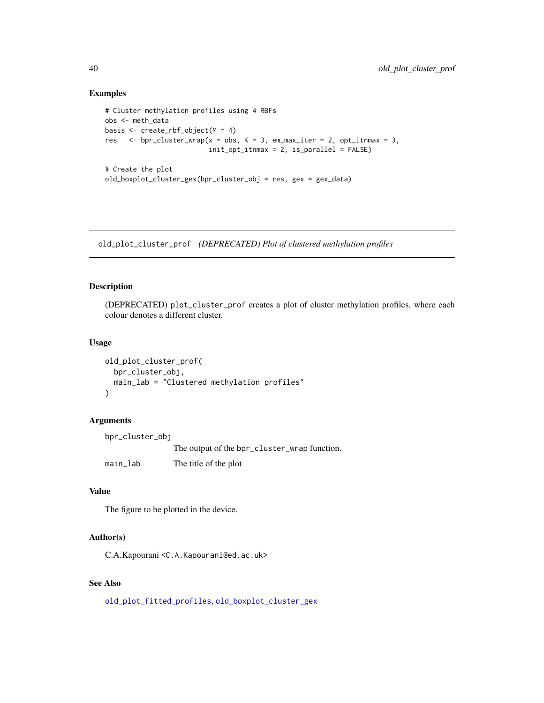## Examples

```
# Cluster methylation profiles using 4 RBFs
obs <- meth_data
basis \leq create_rbf_object(M = 4)
res \le bpr_cluster_wrap(x = obs, K = 3, em_max_iter = 2, opt_itnmax = 3,
                          init_opt_itnmax = 2, is_parallel = FALSE)
# Create the plot
old_boxplot_cluster_gex(bpr_cluster_obj = res, gex = gex_data)
```
<span id="page-39-1"></span>old\_plot\_cluster\_prof *(DEPRECATED) Plot of clustered methylation profiles*

## Description

(DEPRECATED) plot\_cluster\_prof creates a plot of cluster methylation profiles, where each colour denotes a different cluster.

#### Usage

```
old_plot_cluster_prof(
 bpr_cluster_obj,
 main_lab = "Clustered methylation profiles"
\lambda
```
## Arguments

bpr\_cluster\_obj The output of the bpr\_cluster\_wrap function. main\_lab The title of the plot

## Value

The figure to be plotted in the device.

## Author(s)

C.A.Kapourani <C.A.Kapourani@ed.ac.uk>

#### See Also

[old\\_plot\\_fitted\\_profiles](#page-40-1), [old\\_boxplot\\_cluster\\_gex](#page-38-1)

<span id="page-39-0"></span>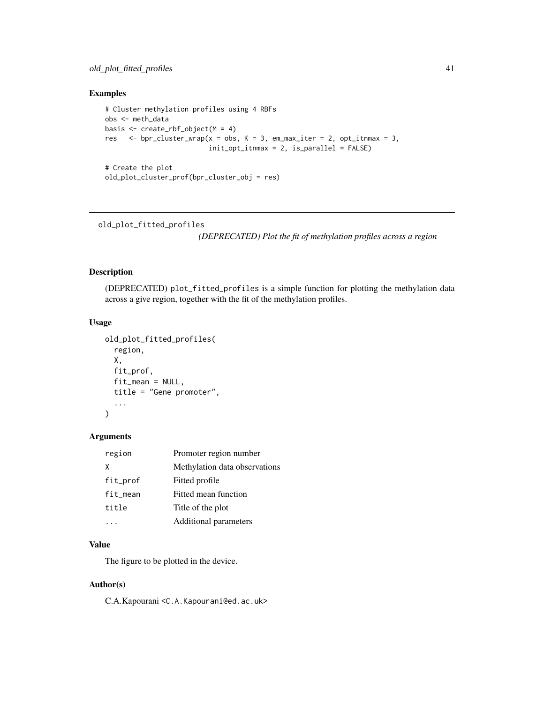## <span id="page-40-0"></span>Examples

```
# Cluster methylation profiles using 4 RBFs
obs <- meth_data
basis \leq create_rbf_object(M = 4)
res \le bpr_cluster_wrap(x = obs, K = 3, em_max_iter = 2, opt_itnmax = 3,
                          init\_opt\_itmmax = 2, is\_parallel = FALSE)# Create the plot
```
old\_plot\_cluster\_prof(bpr\_cluster\_obj = res)

<span id="page-40-1"></span>old\_plot\_fitted\_profiles

*(DEPRECATED) Plot the fit of methylation profiles across a region*

## Description

(DEPRECATED) plot\_fitted\_profiles is a simple function for plotting the methylation data across a give region, together with the fit of the methylation profiles.

## Usage

```
old_plot_fitted_profiles(
  region,
 X,
 fit_prof,
 fit_mean = NULL,
 title = "Gene promoter",
  ...
)
```
## Arguments

| region   | Promoter region number        |
|----------|-------------------------------|
| x        | Methylation data observations |
| fit_prof | Fitted profile                |
| fit_mean | Fitted mean function          |
| title    | Title of the plot             |
|          | Additional parameters         |

## Value

The figure to be plotted in the device.

#### Author(s)

C.A.Kapourani <C.A.Kapourani@ed.ac.uk>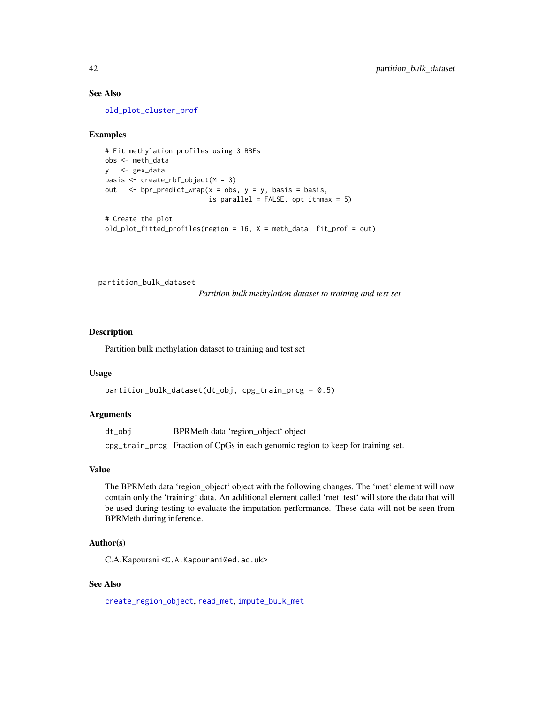#### See Also

[old\\_plot\\_cluster\\_prof](#page-39-1)

#### Examples

```
# Fit methylation profiles using 3 RBFs
obs <- meth_data
y <- gex_data
basis <- create_rbf_object(M = 3)
out \leq bpr_predict_wrap(x = obs, y = y, basis = basis,
                          is\_parallel = FALSE, opt\_itmmax = 5)# Create the plot
old_plot_fitted_profiles(region = 16, X = meth_data, fit_prof = out)
```
<span id="page-41-1"></span>partition\_bulk\_dataset

*Partition bulk methylation dataset to training and test set*

## Description

Partition bulk methylation dataset to training and test set

#### Usage

```
partition_bulk_dataset(dt_obj, cpg_train_prcg = 0.5)
```
#### Arguments

dt\_obj BPRMeth data 'region\_object' object

cpg\_train\_prcg Fraction of CpGs in each genomic region to keep for training set.

#### Value

The BPRMeth data 'region\_object' object with the following changes. The 'met' element will now contain only the 'training' data. An additional element called 'met\_test' will store the data that will be used during testing to evaluate the imputation performance. These data will not be seen from BPRMeth during inference.

## Author(s)

C.A.Kapourani <C.A.Kapourani@ed.ac.uk>

## See Also

[create\\_region\\_object](#page-20-1), [read\\_met](#page-59-1), [impute\\_bulk\\_met](#page-27-2)

<span id="page-41-0"></span>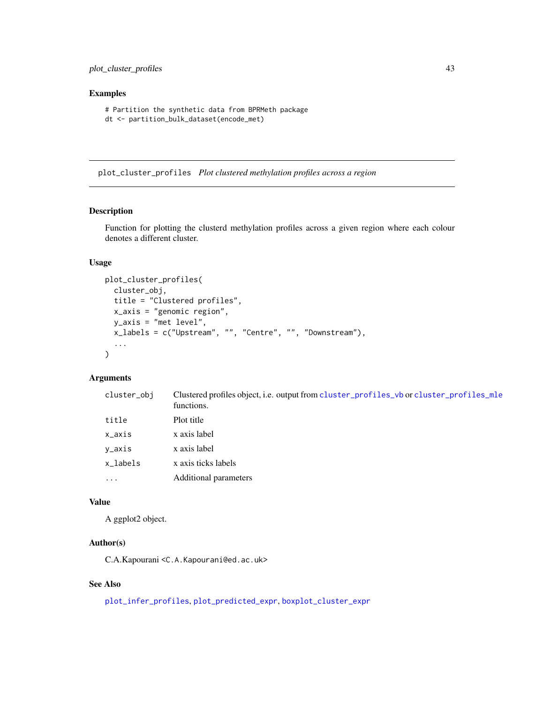#### <span id="page-42-0"></span>Examples

```
# Partition the synthetic data from BPRMeth package
dt <- partition_bulk_dataset(encode_met)
```
<span id="page-42-1"></span>plot\_cluster\_profiles *Plot clustered methylation profiles across a region*

#### Description

Function for plotting the clusterd methylation profiles across a given region where each colour denotes a different cluster.

## Usage

```
plot_cluster_profiles(
 cluster_obj,
  title = "Clustered profiles",
  x_axis = "genomic region",
 y_axis = "met level",
  x_labels = c("Upstream", "", "Centre", "", "Downstream"),
  ...
\mathcal{L}
```
## Arguments

| cluster_obj | Clustered profiles object, i.e. output from cluster_profiles_vb or cluster_profiles_mle<br>functions. |
|-------------|-------------------------------------------------------------------------------------------------------|
| title       | Plot title                                                                                            |
| x_axis      | x axis label                                                                                          |
| y_axis      | x axis label                                                                                          |
| x_labels    | x axis ticks labels                                                                                   |
| $\cdots$    | Additional parameters                                                                                 |

#### Value

A ggplot2 object.

## Author(s)

C.A.Kapourani <C.A.Kapourani@ed.ac.uk>

## See Also

[plot\\_infer\\_profiles](#page-43-1), [plot\\_predicted\\_expr](#page-44-1), [boxplot\\_cluster\\_expr](#page-4-1)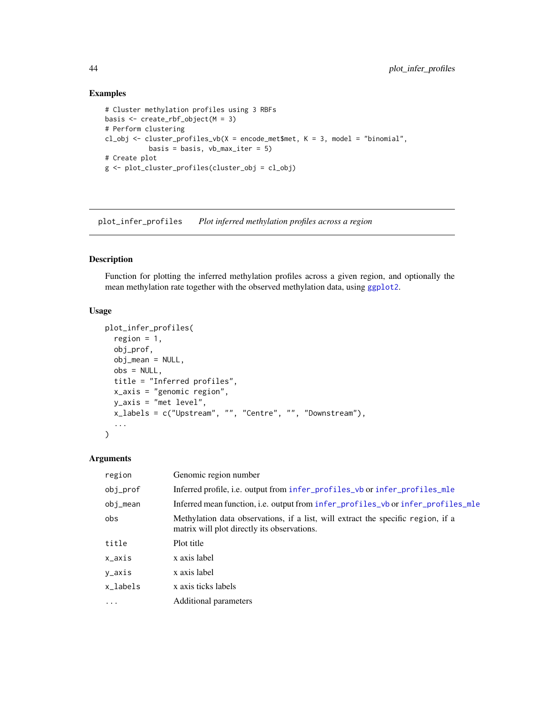## Examples

```
# Cluster methylation profiles using 3 RBFs
basis <- create_rbf_object(M = 3)
# Perform clustering
cl_obj <- cluster_profiles_vb(X =encode_met$met, K = 3, model = "binomial",
           basis = basis, vb_max_iter = 5)
# Create plot
g <- plot_cluster_profiles(cluster_obj = cl_obj)
```
<span id="page-43-1"></span>plot\_infer\_profiles *Plot inferred methylation profiles across a region*

## Description

Function for plotting the inferred methylation profiles across a given region, and optionally the mean methylation rate together with the observed methylation data, using [ggplot2](#page-0-0).

#### Usage

```
plot_infer_profiles(
  region = 1,
  obj_prof,
  obj_mean = NULL,
 obs = NULL,title = "Inferred profiles",
 x_axis = "genomic region",
 y_axis = "met level",
 x_labels = c("Upstream", "", "Centre", "", "Downstream"),
  ...
\mathcal{L}
```
## Arguments

| region   | Genomic region number                                                                                                           |
|----------|---------------------------------------------------------------------------------------------------------------------------------|
| obj_prof | Inferred profile, i.e. output from infer_profiles_vb or infer_profiles_mle                                                      |
| obj_mean | Inferred mean function, i.e. output from infer_profiles_vb or infer_profiles_mle                                                |
| obs      | Methylation data observations, if a list, will extract the specific region, if a<br>matrix will plot directly its observations. |
| title    | Plot title                                                                                                                      |
| x_axis   | x axis label                                                                                                                    |
| y_axis   | x axis label                                                                                                                    |
| x labels | x axis ticks labels                                                                                                             |
| $\cdots$ | Additional parameters                                                                                                           |

<span id="page-43-0"></span>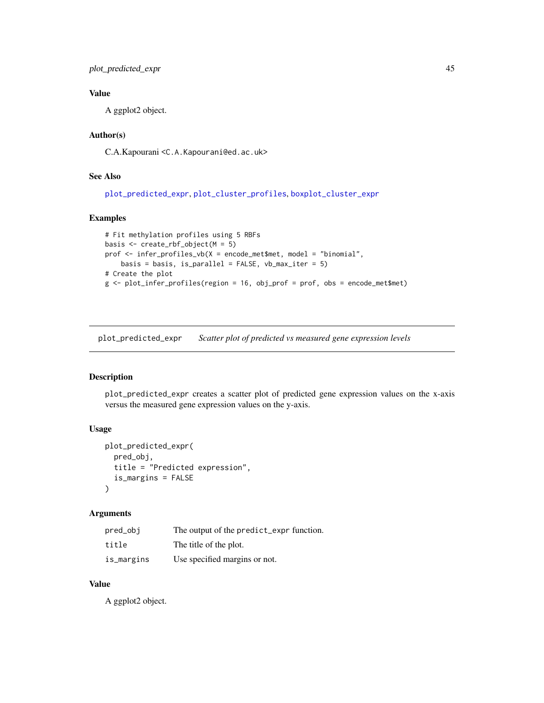<span id="page-44-0"></span>plot\_predicted\_expr 45

## Value

A ggplot2 object.

## Author(s)

C.A.Kapourani <C.A.Kapourani@ed.ac.uk>

## See Also

[plot\\_predicted\\_expr](#page-44-1), [plot\\_cluster\\_profiles](#page-42-1), [boxplot\\_cluster\\_expr](#page-4-1)

## Examples

```
# Fit methylation profiles using 5 RBFs
basis <- create_rbf_object(M = 5)
prof <- infer_profiles_vb(X = encode_met$met, model = "binomial",
   basis = basis, is_parallel = FALSE, vb_max_iter = 5)
# Create the plot
g <- plot_infer_profiles(region = 16, obj_prof = prof, obs = encode_met$met)
```
<span id="page-44-1"></span>plot\_predicted\_expr *Scatter plot of predicted vs measured gene expression levels*

## Description

plot\_predicted\_expr creates a scatter plot of predicted gene expression values on the x-axis versus the measured gene expression values on the y-axis.

## Usage

```
plot_predicted_expr(
 pred_obj,
 title = "Predicted expression",
  is_margins = FALSE
)
```
## Arguments

| pred_obi   | The output of the predict_expr function. |
|------------|------------------------------------------|
| title      | The title of the plot.                   |
| is_margins | Use specified margins or not.            |

## Value

A ggplot2 object.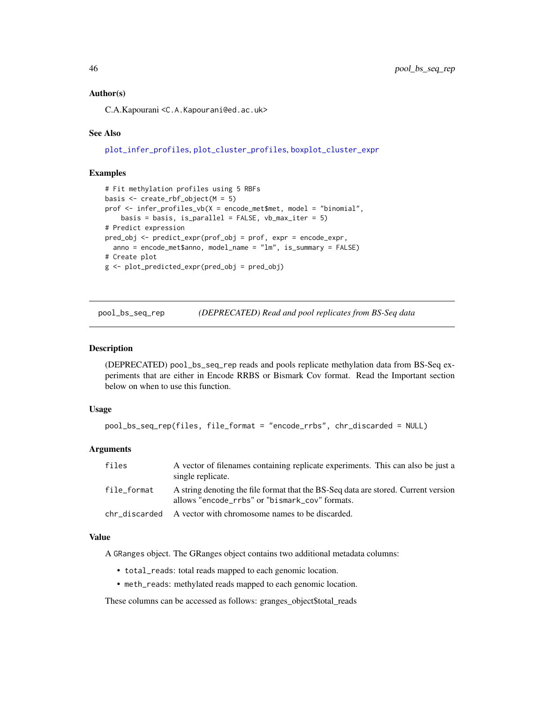## <span id="page-45-0"></span>Author(s)

C.A.Kapourani <C.A.Kapourani@ed.ac.uk>

#### See Also

[plot\\_infer\\_profiles](#page-43-1), [plot\\_cluster\\_profiles](#page-42-1), [boxplot\\_cluster\\_expr](#page-4-1)

## Examples

```
# Fit methylation profiles using 5 RBFs
basis <- create_rbf_object(M = 5)
prof <- infer_profiles_vb(X = encode_met$met, model = "binomial",
   basis = basis, is_parallel = FALSE, vb_max\_iter = 5)
# Predict expression
pred_obj <- predict_expr(prof_obj = prof, expr = encode_expr,
  anno = encode_met$anno, model_name = "lm", is_summary = FALSE)
# Create plot
g <- plot_predicted_expr(pred_obj = pred_obj)
```
<span id="page-45-1"></span>pool\_bs\_seq\_rep *(DEPRECATED) Read and pool replicates from BS-Seq data*

#### Description

(DEPRECATED) pool\_bs\_seq\_rep reads and pools replicate methylation data from BS-Seq experiments that are either in Encode RRBS or Bismark Cov format. Read the Important section below on when to use this function.

#### Usage

```
pool_bs_seq_rep(files, file_format = "encode_rrbs", chr_discarded = NULL)
```
#### Arguments

| files         | A vector of filenames containing replicate experiments. This can also be just a<br>single replicate.                                 |
|---------------|--------------------------------------------------------------------------------------------------------------------------------------|
| file format   | A string denoting the file format that the BS-Seq data are stored. Current version<br>allows "encode_rrbs" or "bismark_cov" formats. |
| chr_discarded | A vector with chromosome names to be discarded.                                                                                      |

#### Value

A GRanges object. The GRanges object contains two additional metadata columns:

- total\_reads: total reads mapped to each genomic location.
- meth\_reads: methylated reads mapped to each genomic location.

These columns can be accessed as follows: granges\_object\$total\_reads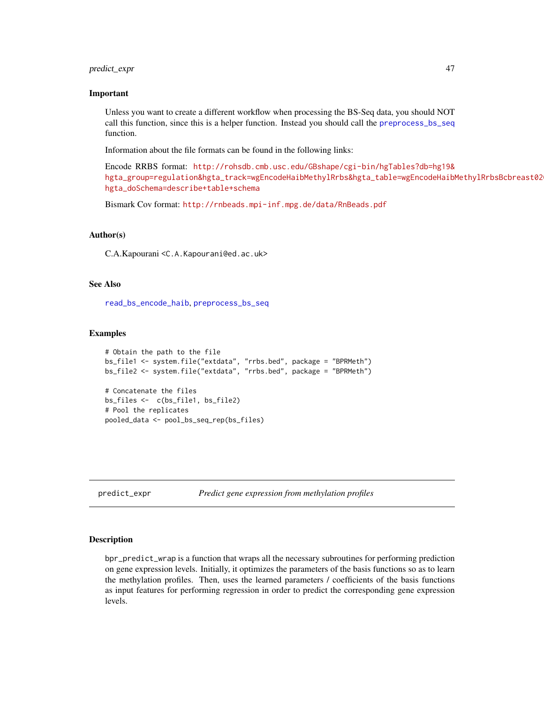## <span id="page-46-0"></span>predict\_expr 47

#### Important

Unless you want to create a different workflow when processing the BS-Seq data, you should NOT call this function, since this is a helper function. Instead you should call the [preprocess\\_bs\\_seq](#page-48-1) function.

Information about the file formats can be found in the following links:

Encode RRBS format: [http://rohsdb.cmb.usc.edu/GBshape/cgi-bin/hgTables?db=hg19&](http://rohsdb.cmb.usc.edu/GBshape/cgi-bin/hgTables?db=hg19&hgta_group= regulation&hgta_track=wgEncodeHaibMethylRrbs&hgta_table= wgEncodeHaibMethylRrbsBcbreast0203015BiochainSitesRep2&hgta_doSchema= describe+table+schema) [hgta\\_group=regulation&hgta\\_track=wgEncodeHaibMethylRrbs&hgta\\_table=wgEncodeHaibM](http://rohsdb.cmb.usc.edu/GBshape/cgi-bin/hgTables?db=hg19&hgta_group= regulation&hgta_track=wgEncodeHaibMethylRrbs&hgta_table= wgEncodeHaibMethylRrbsBcbreast0203015BiochainSitesRep2&hgta_doSchema= describe+table+schema)ethylRrbsBcbreast02 [hgta\\_doSchema=describe+table+schema](http://rohsdb.cmb.usc.edu/GBshape/cgi-bin/hgTables?db=hg19&hgta_group= regulation&hgta_track=wgEncodeHaibMethylRrbs&hgta_table= wgEncodeHaibMethylRrbsBcbreast0203015BiochainSitesRep2&hgta_doSchema= describe+table+schema)

Bismark Cov format: <http://rnbeads.mpi-inf.mpg.de/data/RnBeads.pdf>

#### Author(s)

C.A.Kapourani <C.A.Kapourani@ed.ac.uk>

## See Also

[read\\_bs\\_encode\\_haib](#page-55-1), [preprocess\\_bs\\_seq](#page-48-1)

#### Examples

```
# Obtain the path to the file
bs_file1 <- system.file("extdata", "rrbs.bed", package = "BPRMeth")
bs_file2 <- system.file("extdata", "rrbs.bed", package = "BPRMeth")
# Concatenate the files
bs_files <- c(bs_file1, bs_file2)
# Pool the replicates
pooled_data <- pool_bs_seq_rep(bs_files)
```
<span id="page-46-1"></span>predict\_expr *Predict gene expression from methylation profiles*

#### Description

bpr\_predict\_wrap is a function that wraps all the necessary subroutines for performing prediction on gene expression levels. Initially, it optimizes the parameters of the basis functions so as to learn the methylation profiles. Then, uses the learned parameters / coefficients of the basis functions as input features for performing regression in order to predict the corresponding gene expression levels.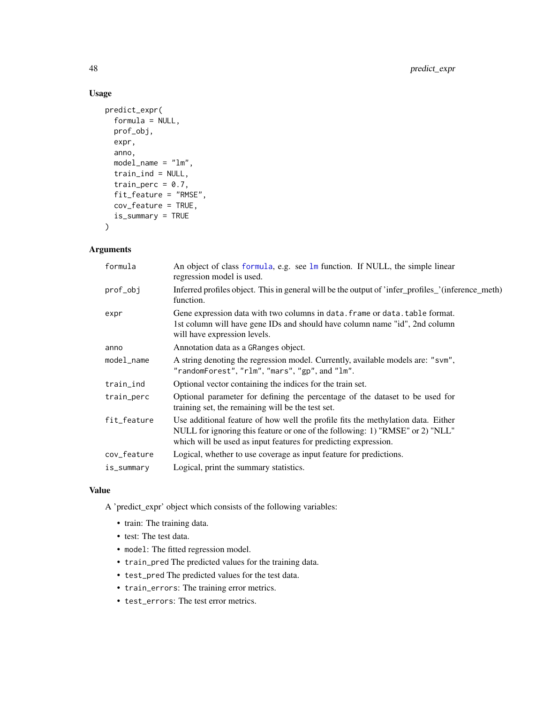## Usage

```
predict_expr(
  formula = NULL,
 prof_obj,
  expr,
  anno,
 model_name = "lm",train_ind = NULL,
  train_perc = 0.7,
  fit_feature = "RMSE",
  cov_feature = TRUE,
  is_summary = TRUE
\mathcal{L}
```
## Arguments

| formula     | An object of class formula, e.g. see lm function. If NULL, the simple linear<br>regression model is used.                                                                                                                            |
|-------------|--------------------------------------------------------------------------------------------------------------------------------------------------------------------------------------------------------------------------------------|
| prof_obj    | Inferred profiles object. This in general will be the output of 'infer_profiles_'(inference_meth)<br>function.                                                                                                                       |
| expr        | Gene expression data with two columns in data. frame or data. table format.<br>1st column will have gene IDs and should have column name "id", 2nd column<br>will have expression levels.                                            |
| anno        | Annotation data as a GRanges object.                                                                                                                                                                                                 |
| model_name  | A string denoting the regression model. Currently, available models are: "svm",<br>"randomForest", "rlm", "mars", "gp", and "lm".                                                                                                    |
| train_ind   | Optional vector containing the indices for the train set.                                                                                                                                                                            |
| train_perc  | Optional parameter for defining the percentage of the dataset to be used for<br>training set, the remaining will be the test set.                                                                                                    |
| fit_feature | Use additional feature of how well the profile fits the methylation data. Either<br>NULL for ignoring this feature or one of the following: 1) "RMSE" or 2) "NLL"<br>which will be used as input features for predicting expression. |
| cov_feature | Logical, whether to use coverage as input feature for predictions.                                                                                                                                                                   |
| is_summary  | Logical, print the summary statistics.                                                                                                                                                                                               |

#### Value

A 'predict\_expr' object which consists of the following variables:

- train: The training data.
- test: The test data.
- model: The fitted regression model.
- train\_pred The predicted values for the training data.
- test\_pred The predicted values for the test data.
- train\_errors: The training error metrics.
- test\_errors: The test error metrics.

<span id="page-47-0"></span>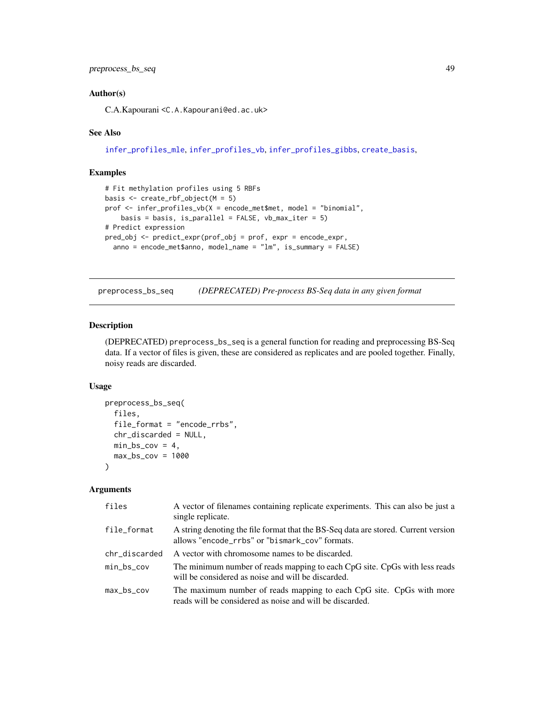## <span id="page-48-0"></span>Author(s)

C.A.Kapourani <C.A.Kapourani@ed.ac.uk>

#### See Also

[infer\\_profiles\\_mle](#page-31-1), [infer\\_profiles\\_vb](#page-33-1), [infer\\_profiles\\_gibbs](#page-28-1), [create\\_basis](#page-19-2),

## Examples

```
# Fit methylation profiles using 5 RBFs
basis <- create_rbf_object(M = 5)
prof <- infer_profiles_vb(X = encode_met$met, model = "binomial",
   basis = basis, is\_parallel = FALSE, vb\_max\_iter = 5)# Predict expression
pred_obj <- predict_expr(prof_obj = prof, expr = encode_expr,
  anno = encode_met$anno, model_name = "lm", is_summary = FALSE)
```
<span id="page-48-1"></span>preprocess\_bs\_seq *(DEPRECATED) Pre-process BS-Seq data in any given format*

#### Description

(DEPRECATED) preprocess\_bs\_seq is a general function for reading and preprocessing BS-Seq data. If a vector of files is given, these are considered as replicates and are pooled together. Finally, noisy reads are discarded.

#### Usage

```
preprocess_bs_seq(
  files,
  file_format = "encode_rrbs",
  chr_discarded = NULL,
 min_bs_cov = 4,
 max_bscov = 1000\lambda
```
#### Arguments

| files         | A vector of filenames containing replicate experiments. This can also be just a<br>single replicate.                                 |
|---------------|--------------------------------------------------------------------------------------------------------------------------------------|
| file_format   | A string denoting the file format that the BS-Seq data are stored. Current version<br>allows "encode_rrbs" or "bismark_cov" formats. |
| chr_discarded | A vector with chromosome names to be discarded.                                                                                      |
| min_bs_cov    | The minimum number of reads mapping to each CpG site. CpGs with less reads<br>will be considered as noise and will be discarded.     |
| max_bs_cov    | The maximum number of reads mapping to each CpG site. CpGs with more<br>reads will be considered as noise and will be discarded.     |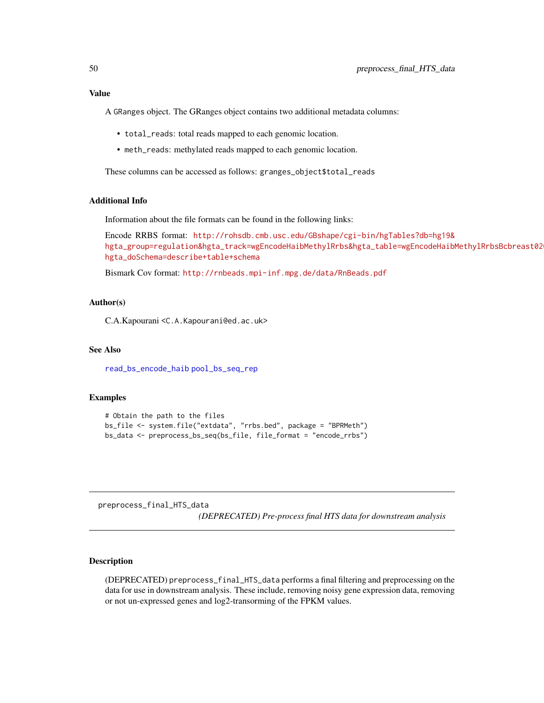<span id="page-49-0"></span>A GRanges object. The GRanges object contains two additional metadata columns:

- total\_reads: total reads mapped to each genomic location.
- meth\_reads: methylated reads mapped to each genomic location.

These columns can be accessed as follows: granges\_object\$total\_reads

## Additional Info

Information about the file formats can be found in the following links:

```
Encode RRBS format: http://rohsdb.cmb.usc.edu/GBshape/cgi-bin/hgTables?db=hg19&
hgta_group=regulation&hgta_track=wgEncodeHaibMethylRrbs&hgta_table=wgEncodeHaibMethylRrbsBcbreast02
hgta_doSchema=describe+table+schema
```
Bismark Cov format: <http://rnbeads.mpi-inf.mpg.de/data/RnBeads.pdf>

#### Author(s)

C.A.Kapourani <C.A.Kapourani@ed.ac.uk>

#### See Also

[read\\_bs\\_encode\\_haib](#page-55-1) [pool\\_bs\\_seq\\_rep](#page-45-1)

#### Examples

```
# Obtain the path to the files
bs_file <- system.file("extdata", "rrbs.bed", package = "BPRMeth")
bs_data <- preprocess_bs_seq(bs_file, file_format = "encode_rrbs")
```
preprocess\_final\_HTS\_data *(DEPRECATED) Pre-process final HTS data for downstream analysis*

#### Description

(DEPRECATED) preprocess\_final\_HTS\_data performs a final filtering and preprocessing on the data for use in downstream analysis. These include, removing noisy gene expression data, removing or not un-expressed genes and log2-transorming of the FPKM values.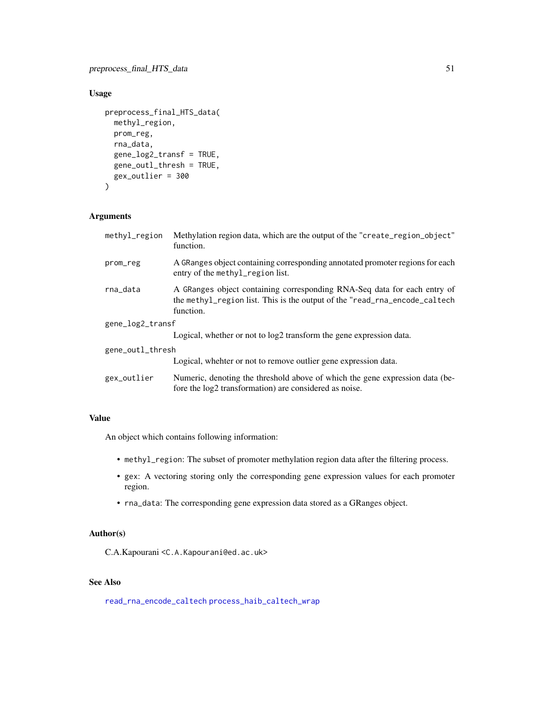## <span id="page-50-0"></span>Usage

```
preprocess_final_HTS_data(
 methyl_region,
 prom_reg,
 rna_data,
  gene_log2_transf = TRUE,
  gene_outl_thresh = TRUE,
 gex_outlier = 300
\mathcal{L}
```
## Arguments

| methyl_region    | Methylation region data, which are the output of the "create_region_object"<br>function.                                                                            |
|------------------|---------------------------------------------------------------------------------------------------------------------------------------------------------------------|
| prom_reg         | A GRanges object containing corresponding annotated promoter regions for each<br>entry of the methyl_region list.                                                   |
| rna_data         | A GRanges object containing corresponding RNA-Seq data for each entry of<br>the methyl_region list. This is the output of the "read_rna_encode_caltech<br>function. |
| gene_log2_transf |                                                                                                                                                                     |
|                  | Logical, whether or not to $log2$ transform the gene expression data.                                                                                               |
| gene_outl_thresh |                                                                                                                                                                     |
|                  | Logical, whehter or not to remove outlier gene expression data.                                                                                                     |
| gex_outlier      | Numeric, denoting the threshold above of which the gene expression data (be-<br>fore the log2 transformation) are considered as noise.                              |

## Value

An object which contains following information:

- methyl\_region: The subset of promoter methylation region data after the filtering process.
- gex: A vectoring storing only the corresponding gene expression values for each promoter region.
- rna\_data: The corresponding gene expression data stored as a GRanges object.

## Author(s)

C.A.Kapourani <C.A.Kapourani@ed.ac.uk>

## See Also

[read\\_rna\\_encode\\_caltech](#page-60-1) [process\\_haib\\_caltech\\_wrap](#page-51-1)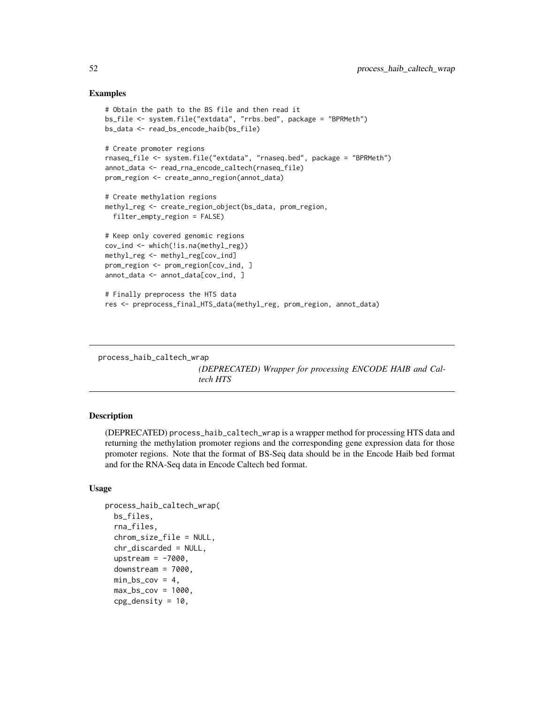#### Examples

```
# Obtain the path to the BS file and then read it
bs_file <- system.file("extdata", "rrbs.bed", package = "BPRMeth")
bs_data <- read_bs_encode_haib(bs_file)
# Create promoter regions
rnaseq_file <- system.file("extdata", "rnaseq.bed", package = "BPRMeth")
annot_data <- read_rna_encode_caltech(rnaseq_file)
prom_region <- create_anno_region(annot_data)
# Create methylation regions
methyl_reg <- create_region_object(bs_data, prom_region,
  filter_empty_region = FALSE)
# Keep only covered genomic regions
cov_ind <- which(!is.na(methyl_reg))
methyl_reg <- methyl_reg[cov_ind]
prom_region <- prom_region[cov_ind, ]
annot_data <- annot_data[cov_ind, ]
# Finally preprocess the HTS data
res <- preprocess_final_HTS_data(methyl_reg, prom_region, annot_data)
```

```
process_haib_caltech_wrap
```
*(DEPRECATED) Wrapper for processing ENCODE HAIB and Caltech HTS*

#### **Description**

(DEPRECATED) process\_haib\_caltech\_wrap is a wrapper method for processing HTS data and returning the methylation promoter regions and the corresponding gene expression data for those promoter regions. Note that the format of BS-Seq data should be in the Encode Haib bed format and for the RNA-Seq data in Encode Caltech bed format.

#### Usage

```
process_haib_caltech_wrap(
 bs_files,
  rna_files,
  chrom_size_file = NULL,
  chr_discarded = NULL,
  upstream = -7000,
  downstream = 7000.
  min_bscov = 4,
  max_bscov = 1000,
  cpg_density = 10,
```
<span id="page-51-0"></span>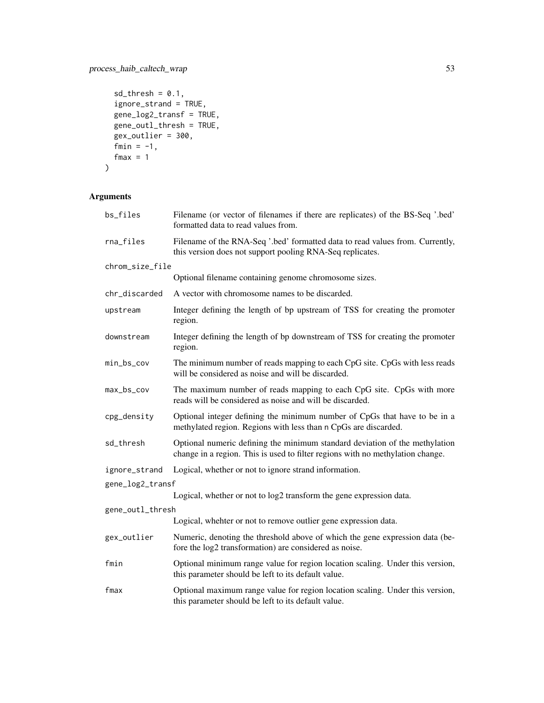```
sd_{th}resh = 0.1,
ignore_strand = TRUE,
gene_log2_transf = TRUE,
gene_outl_thresh = TRUE,
gex_outlier = 300,
fmin = -1,
fmax = 1
```
## Arguments

 $\mathcal{L}$ 

| bs_files         | Filename (or vector of filenames if there are replicates) of the BS-Seq '.bed'<br>formatted data to read values from.                                         |
|------------------|---------------------------------------------------------------------------------------------------------------------------------------------------------------|
| rna_files        | Filename of the RNA-Seq '.bed' formatted data to read values from. Currently,<br>this version does not support pooling RNA-Seq replicates.                    |
| chrom_size_file  |                                                                                                                                                               |
|                  | Optional filename containing genome chromosome sizes.                                                                                                         |
| chr_discarded    | A vector with chromosome names to be discarded.                                                                                                               |
| upstream         | Integer defining the length of bp upstream of TSS for creating the promoter<br>region.                                                                        |
| downstream       | Integer defining the length of bp downstream of TSS for creating the promoter<br>region.                                                                      |
| min_bs_cov       | The minimum number of reads mapping to each CpG site. CpGs with less reads<br>will be considered as noise and will be discarded.                              |
| max_bs_cov       | The maximum number of reads mapping to each CpG site. CpGs with more<br>reads will be considered as noise and will be discarded.                              |
| cpg_density      | Optional integer defining the minimum number of CpGs that have to be in a<br>methylated region. Regions with less than n CpGs are discarded.                  |
| sd_thresh        | Optional numeric defining the minimum standard deviation of the methylation<br>change in a region. This is used to filter regions with no methylation change. |
| ignore_strand    | Logical, whether or not to ignore strand information.                                                                                                         |
| gene_log2_transf |                                                                                                                                                               |
|                  | Logical, whether or not to log2 transform the gene expression data.                                                                                           |
| gene_outl_thresh |                                                                                                                                                               |
|                  | Logical, whehter or not to remove outlier gene expression data.                                                                                               |
| gex_outlier      | Numeric, denoting the threshold above of which the gene expression data (be-<br>fore the log2 transformation) are considered as noise.                        |
| fmin             | Optional minimum range value for region location scaling. Under this version,<br>this parameter should be left to its default value.                          |
| fmax             | Optional maximum range value for region location scaling. Under this version,<br>this parameter should be left to its default value.                          |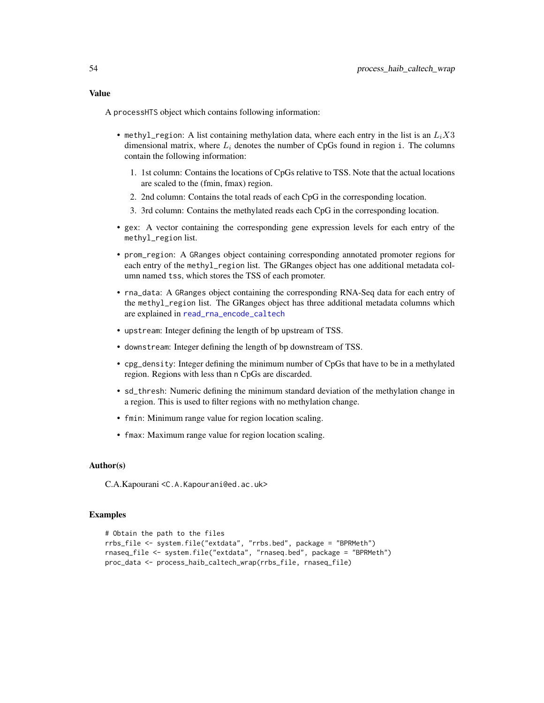<span id="page-53-0"></span>A processHTS object which contains following information:

- methyl\_region: A list containing methylation data, where each entry in the list is an  $L_iX3$ dimensional matrix, where  $L<sub>i</sub>$  denotes the number of CpGs found in region i. The columns contain the following information:
	- 1. 1st column: Contains the locations of CpGs relative to TSS. Note that the actual locations are scaled to the (fmin, fmax) region.
	- 2. 2nd column: Contains the total reads of each CpG in the corresponding location.
	- 3. 3rd column: Contains the methylated reads each CpG in the corresponding location.
- gex: A vector containing the corresponding gene expression levels for each entry of the methyl\_region list.
- prom\_region: A GRanges object containing corresponding annotated promoter regions for each entry of the methyl\_region list. The GRanges object has one additional metadata column named tss, which stores the TSS of each promoter.
- rna\_data: A GRanges object containing the corresponding RNA-Seq data for each entry of the methyl\_region list. The GRanges object has three additional metadata columns which are explained in [read\\_rna\\_encode\\_caltech](#page-60-1)
- upstream: Integer defining the length of bp upstream of TSS.
- downstream: Integer defining the length of bp downstream of TSS.
- cpg\_density: Integer defining the minimum number of CpGs that have to be in a methylated region. Regions with less than n CpGs are discarded.
- sd\_thresh: Numeric defining the minimum standard deviation of the methylation change in a region. This is used to filter regions with no methylation change.
- fmin: Minimum range value for region location scaling.
- fmax: Maximum range value for region location scaling.

#### Author(s)

C.A.Kapourani <C.A.Kapourani@ed.ac.uk>

#### Examples

```
# Obtain the path to the files
rrbs_file <- system.file("extdata", "rrbs.bed", package = "BPRMeth")
rnaseq_file <- system.file("extdata", "rnaseq.bed", package = "BPRMeth")
proc_data <- process_haib_caltech_wrap(rrbs_file, rnaseq_file)
```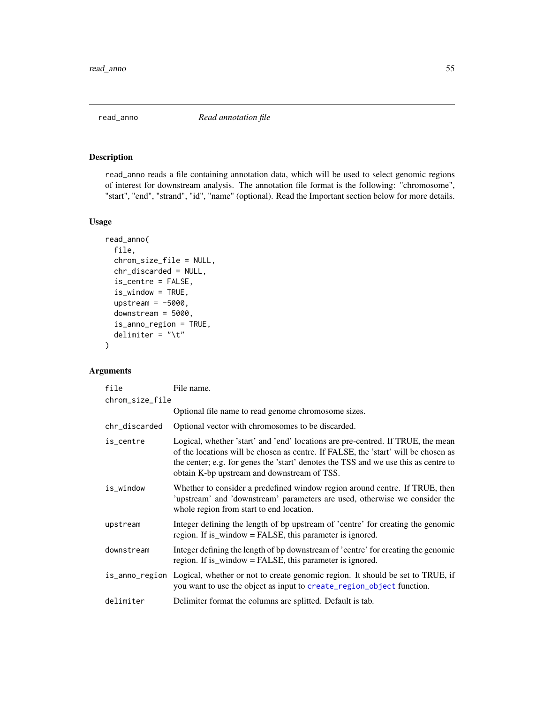<span id="page-54-1"></span><span id="page-54-0"></span>

## Description

read\_anno reads a file containing annotation data, which will be used to select genomic regions of interest for downstream analysis. The annotation file format is the following: "chromosome", "start", "end", "strand", "id", "name" (optional). Read the Important section below for more details.

#### Usage

```
read_anno(
  file,
  chrom_size_file = NULL,
  chr_discarded = NULL,
  is_centre = FALSE,
  is_window = TRUE,
  upstream = -5000,
  downstream = 5000,
  is_anno_region = TRUE,
  delimiter = "\t t")
```
## Arguments

| file            | File name.                                                                                                                                                                                                                                                                                                  |  |
|-----------------|-------------------------------------------------------------------------------------------------------------------------------------------------------------------------------------------------------------------------------------------------------------------------------------------------------------|--|
| chrom_size_file |                                                                                                                                                                                                                                                                                                             |  |
|                 | Optional file name to read genome chromosome sizes.                                                                                                                                                                                                                                                         |  |
| chr_discarded   | Optional vector with chromosomes to be discarded.                                                                                                                                                                                                                                                           |  |
| is_centre       | Logical, whether 'start' and 'end' locations are pre-centred. If TRUE, the mean<br>of the locations will be chosen as centre. If FALSE, the 'start' will be chosen as<br>the center; e.g. for genes the 'start' denotes the TSS and we use this as centre to<br>obtain K-bp upstream and downstream of TSS. |  |
| is_window       | Whether to consider a predefined window region around centre. If TRUE, then<br>'upstream' and 'downstream' parameters are used, otherwise we consider the<br>whole region from start to end location.                                                                                                       |  |
| upstream        | Integer defining the length of bp upstream of 'centre' for creating the genomic<br>region. If is_window = FALSE, this parameter is ignored.                                                                                                                                                                 |  |
| downstream      | Integer defining the length of bp downstream of 'centre' for creating the genomic<br>region. If is_window = FALSE, this parameter is ignored.                                                                                                                                                               |  |
|                 | is_anno_region Logical, whether or not to create genomic region. It should be set to TRUE, if<br>you want to use the object as input to create_region_object function.                                                                                                                                      |  |
| delimiter       | Delimiter format the columns are splitted. Default is tab.                                                                                                                                                                                                                                                  |  |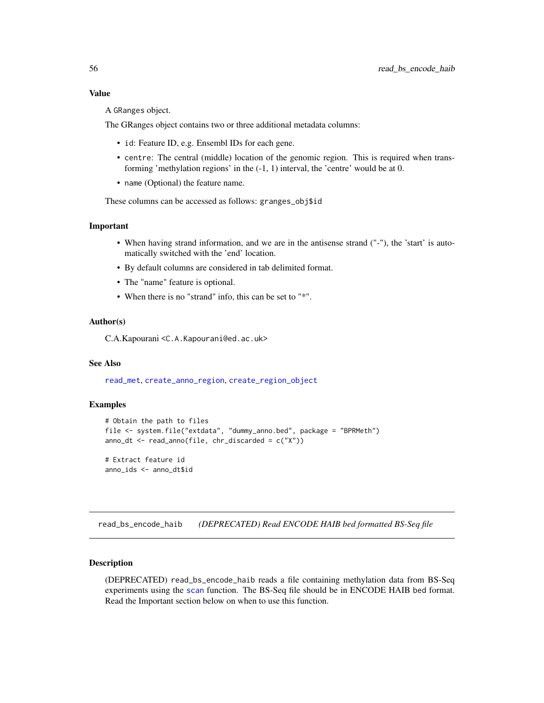<span id="page-55-0"></span>A GRanges object.

The GRanges object contains two or three additional metadata columns:

- id: Feature ID, e.g. Ensembl IDs for each gene.
- centre: The central (middle) location of the genomic region. This is required when transforming 'methylation regions' in the (-1, 1) interval, the 'centre' would be at 0.
- name (Optional) the feature name.

These columns can be accessed as follows: granges\_obj\$id

#### Important

- When having strand information, and we are in the antisense strand ("-"), the 'start' is automatically switched with the 'end' location.
- By default columns are considered in tab delimited format.
- The "name" feature is optional.
- When there is no "strand" info, this can be set to "\*".

#### Author(s)

C.A.Kapourani <C.A.Kapourani@ed.ac.uk>

#### See Also

[read\\_met](#page-59-1), [create\\_anno\\_region](#page-18-1), [create\\_region\\_object](#page-20-1)

#### Examples

```
# Obtain the path to files
file <- system.file("extdata", "dummy_anno.bed", package = "BPRMeth")
anno_dt \leq read_anno(file, chr_discarded = c("X"))
# Extract feature id
```
anno\_ids <- anno\_dt\$id

<span id="page-55-1"></span>read\_bs\_encode\_haib *(DEPRECATED) Read ENCODE HAIB bed formatted BS-Seq file*

#### Description

(DEPRECATED) read\_bs\_encode\_haib reads a file containing methylation data from BS-Seq experiments using the [scan](#page-0-0) function. The BS-Seq file should be in ENCODE HAIB bed format. Read the Important section below on when to use this function.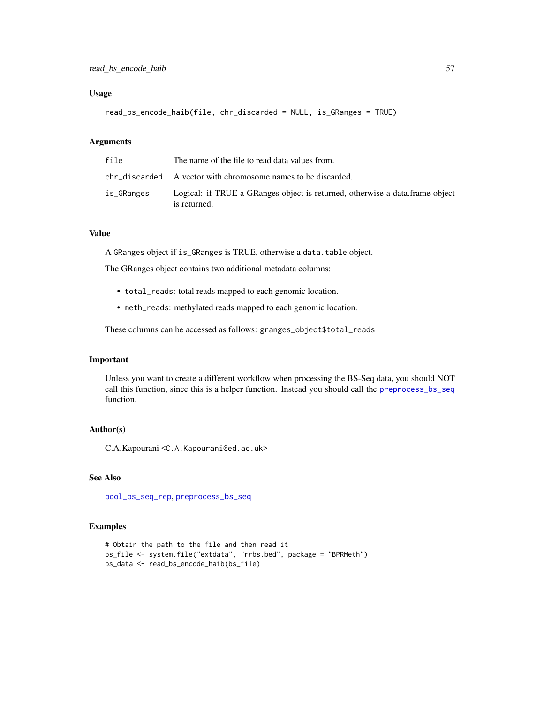## <span id="page-56-0"></span>Usage

read\_bs\_encode\_haib(file, chr\_discarded = NULL, is\_GRanges = TRUE)

## Arguments

| file       | The name of the file to read data values from.                                               |
|------------|----------------------------------------------------------------------------------------------|
|            | chr discarded A vector with chromosome names to be discarded.                                |
| is_GRanges | Logical: if TRUE a GRanges object is returned, otherwise a data frame object<br>is returned. |

## Value

A GRanges object if is\_GRanges is TRUE, otherwise a data.table object.

The GRanges object contains two additional metadata columns:

- total\_reads: total reads mapped to each genomic location.
- meth\_reads: methylated reads mapped to each genomic location.

These columns can be accessed as follows: granges\_object\$total\_reads

#### Important

Unless you want to create a different workflow when processing the BS-Seq data, you should NOT call this function, since this is a helper function. Instead you should call the [preprocess\\_bs\\_seq](#page-48-1) function.

## Author(s)

C.A.Kapourani <C.A.Kapourani@ed.ac.uk>

## See Also

[pool\\_bs\\_seq\\_rep](#page-45-1), [preprocess\\_bs\\_seq](#page-48-1)

## Examples

```
# Obtain the path to the file and then read it
bs_file <- system.file("extdata", "rrbs.bed", package = "BPRMeth")
bs_data <- read_bs_encode_haib(bs_file)
```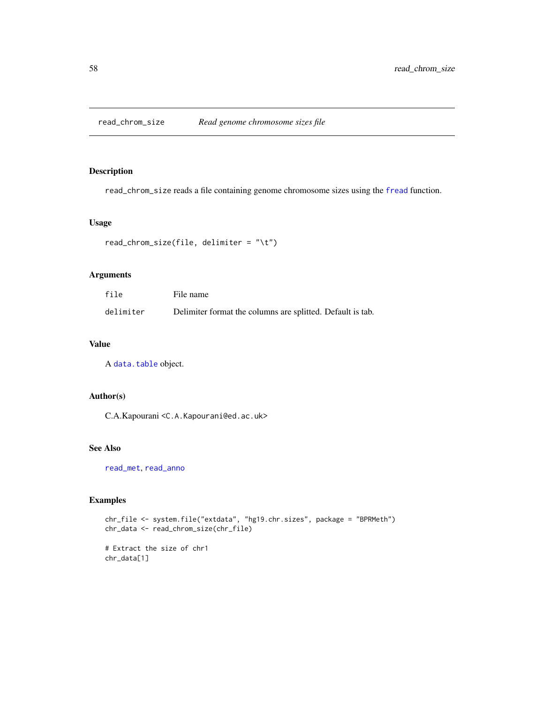<span id="page-57-1"></span><span id="page-57-0"></span>read\_chrom\_size *Read genome chromosome sizes file*

## Description

read\_chrom\_size reads a file containing genome chromosome sizes using the [fread](#page-0-0) function.

#### Usage

```
read_chrom_size(file, delimiter = "\t")
```
## Arguments

| file      | File name                                                  |
|-----------|------------------------------------------------------------|
| delimiter | Delimiter format the columns are splitted. Default is tab. |

## Value

A [data.table](#page-0-0) object.

## Author(s)

C.A.Kapourani <C.A.Kapourani@ed.ac.uk>

#### See Also

[read\\_met](#page-59-1), [read\\_anno](#page-54-1)

## Examples

```
chr_file <- system.file("extdata", "hg19.chr.sizes", package = "BPRMeth")
chr_data <- read_chrom_size(chr_file)
# Extract the size of chr1
```
chr\_data[1]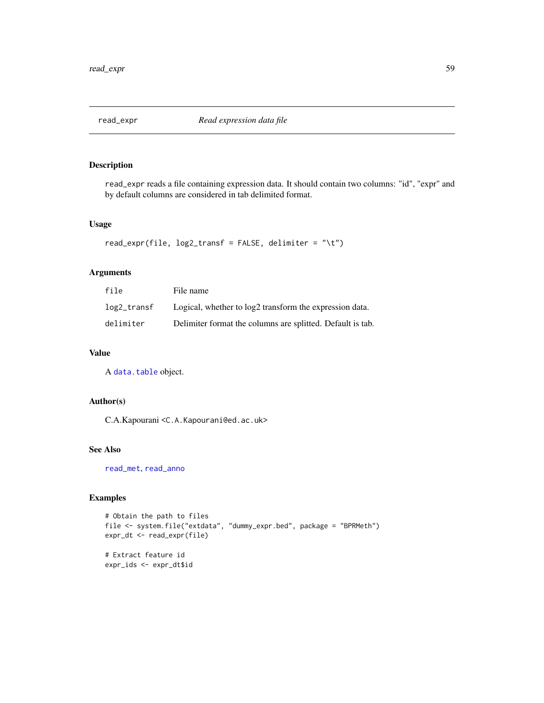<span id="page-58-1"></span><span id="page-58-0"></span>

## Description

read\_expr reads a file containing expression data. It should contain two columns: "id", "expr" and by default columns are considered in tab delimited format.

#### Usage

```
read_expr(file, log2_transf = FALSE, delimiter = "\t")
```
## Arguments

| file        | File name                                                  |
|-------------|------------------------------------------------------------|
| log2_transf | Logical, whether to log2 transform the expression data.    |
| delimiter   | Delimiter format the columns are splitted. Default is tab. |

## Value

A [data.table](#page-0-0) object.

## Author(s)

C.A.Kapourani <C.A.Kapourani@ed.ac.uk>

## See Also

[read\\_met](#page-59-1), [read\\_anno](#page-54-1)

## Examples

```
# Obtain the path to files
file <- system.file("extdata", "dummy_expr.bed", package = "BPRMeth")
expr_dt <- read_expr(file)
```
# Extract feature id expr\_ids <- expr\_dt\$id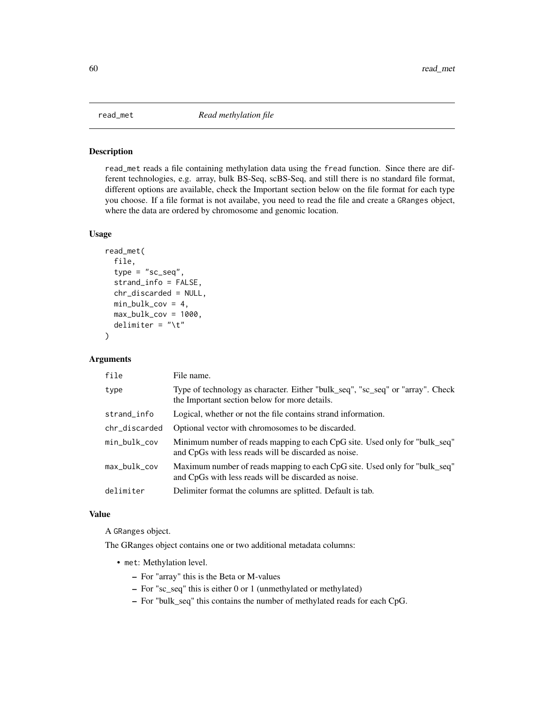<span id="page-59-1"></span><span id="page-59-0"></span>

#### Description

read\_met reads a file containing methylation data using the fread function. Since there are different technologies, e.g. array, bulk BS-Seq, scBS-Seq, and still there is no standard file format, different options are available, check the Important section below on the file format for each type you choose. If a file format is not availabe, you need to read the file and create a GRanges object, where the data are ordered by chromosome and genomic location.

## Usage

```
read_met(
  file,
  type = "sc\_seq",strand_info = FALSE,
  chr_discarded = NULL,
 min_bulk\_cov = 4,
 max_bulk\_cov = 1000,
 delimiter = "\iota")
```
## Arguments

| file          | File name.                                                                                                                         |
|---------------|------------------------------------------------------------------------------------------------------------------------------------|
| type          | Type of technology as character. Either "bulk_seq", "sc_seq" or "array". Check<br>the Important section below for more details.    |
| strand_info   | Logical, whether or not the file contains strand information.                                                                      |
| chr_discarded | Optional vector with chromosomes to be discarded.                                                                                  |
| min_bulk_cov  | Minimum number of reads mapping to each CpG site. Used only for "bulk_seq"<br>and CpGs with less reads will be discarded as noise. |
| max_bulk_cov  | Maximum number of reads mapping to each CpG site. Used only for "bulk_seq"<br>and CpGs with less reads will be discarded as noise. |
| delimiter     | Delimiter format the columns are splitted. Default is tab.                                                                         |

## Value

A GRanges object.

The GRanges object contains one or two additional metadata columns:

- met: Methylation level.
	- For "array" this is the Beta or M-values
	- For "sc\_seq" this is either 0 or 1 (unmethylated or methylated)
	- For "bulk\_seq" this contains the number of methylated reads for each CpG.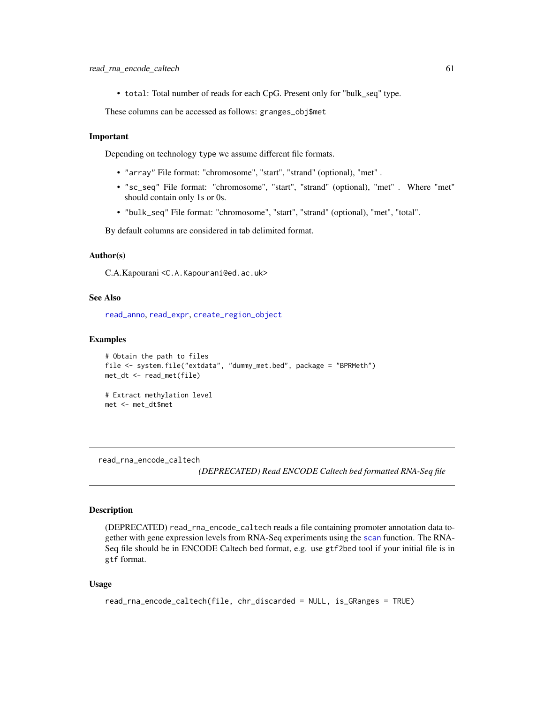<span id="page-60-0"></span>• total: Total number of reads for each CpG. Present only for "bulk\_seq" type.

These columns can be accessed as follows: granges\_obj\$met

#### Important

Depending on technology type we assume different file formats.

- "array" File format: "chromosome", "start", "strand" (optional), "met" .
- "sc\_seq" File format: "chromosome", "start", "strand" (optional), "met" . Where "met" should contain only 1s or 0s.
- "bulk\_seq" File format: "chromosome", "start", "strand" (optional), "met", "total".

By default columns are considered in tab delimited format.

#### Author(s)

C.A.Kapourani <C.A.Kapourani@ed.ac.uk>

#### See Also

[read\\_anno](#page-54-1), [read\\_expr](#page-58-1), [create\\_region\\_object](#page-20-1)

#### Examples

```
# Obtain the path to files
file <- system.file("extdata", "dummy_met.bed", package = "BPRMeth")
met_dt <- read_met(file)
# Extract methylation level
met <- met_dt$met
```
<span id="page-60-1"></span>read\_rna\_encode\_caltech

*(DEPRECATED) Read ENCODE Caltech bed formatted RNA-Seq file*

#### Description

(DEPRECATED) read\_rna\_encode\_caltech reads a file containing promoter annotation data together with gene expression levels from RNA-Seq experiments using the [scan](#page-0-0) function. The RNA-Seq file should be in ENCODE Caltech bed format, e.g. use gtf2bed tool if your initial file is in gtf format.

#### Usage

```
read_rna_encode_caltech(file, chr_discarded = NULL, is_GRanges = TRUE)
```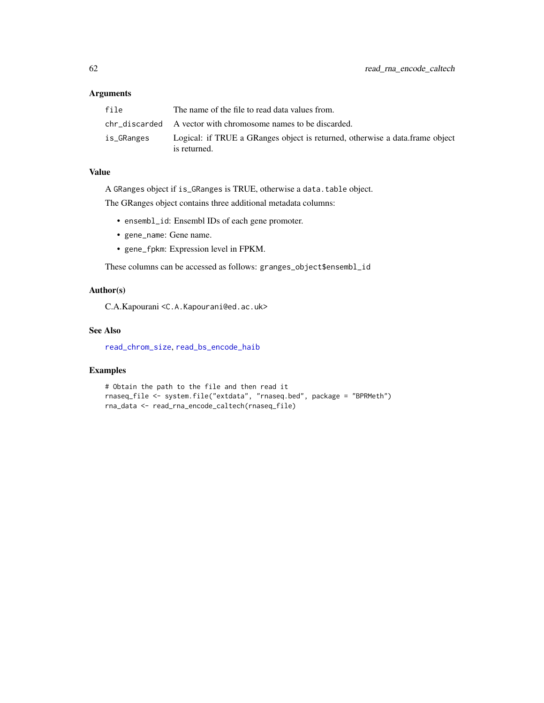## <span id="page-61-0"></span>Arguments

| file       | The name of the file to read data values from.                                                |
|------------|-----------------------------------------------------------------------------------------------|
|            | chr discarded A vector with chromosome names to be discarded.                                 |
| is_GRanges | Logical: if TRUE a GRanges object is returned, otherwise a data. frame object<br>is returned. |

## Value

A GRanges object if is\_GRanges is TRUE, otherwise a data.table object.

The GRanges object contains three additional metadata columns:

- ensembl\_id: Ensembl IDs of each gene promoter.
- gene\_name: Gene name.
- gene\_fpkm: Expression level in FPKM.

These columns can be accessed as follows: granges\_object\$ensembl\_id

## Author(s)

C.A.Kapourani <C.A.Kapourani@ed.ac.uk>

#### See Also

[read\\_chrom\\_size](#page-57-1), [read\\_bs\\_encode\\_haib](#page-55-1)

## Examples

```
# Obtain the path to the file and then read it
rnaseq_file <- system.file("extdata", "rnaseq.bed", package = "BPRMeth")
rna_data <- read_rna_encode_caltech(rnaseq_file)
```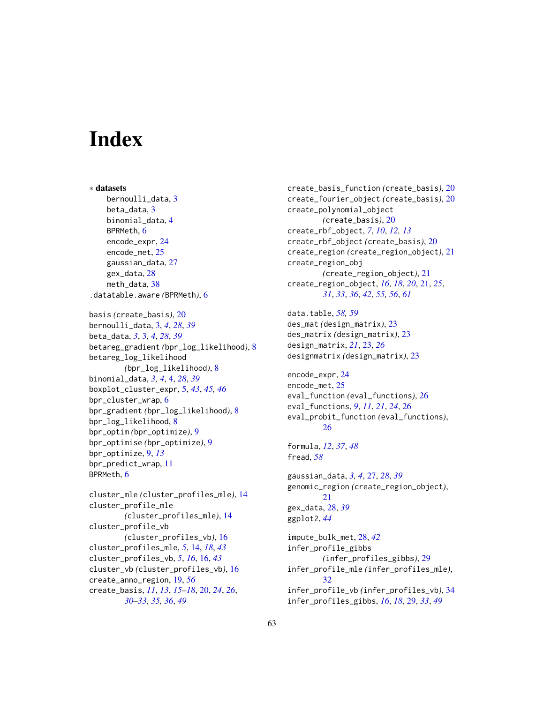# <span id="page-62-0"></span>**Index**

∗ datasets bernoulli\_data, [3](#page-2-0) beta\_data, [3](#page-2-0) binomial\_data, [4](#page-3-0) BPRMeth, [6](#page-5-0) encode\_expr, [24](#page-23-0) encode\_met, [25](#page-24-0) gaussian\_data, [27](#page-26-0) gex\_data, [28](#page-27-0) meth\_data, [38](#page-37-0) .datatable.aware *(*BPRMeth*)*, [6](#page-5-0) basis *(*create\_basis*)*, [20](#page-19-0) bernoulli\_data, [3,](#page-2-0) *[4](#page-3-0)*, *[28](#page-27-0)*, *[39](#page-38-0)* beta\_data, *[3](#page-2-0)*, [3,](#page-2-0) *[4](#page-3-0)*, *[28](#page-27-0)*, *[39](#page-38-0)* betareg\_gradient *(*bpr\_log\_likelihood*)*, [8](#page-7-0) betareg\_log\_likelihood *(*bpr\_log\_likelihood*)*, [8](#page-7-0) binomial\_data, *[3,](#page-2-0) [4](#page-3-0)*, [4,](#page-3-0) *[28](#page-27-0)*, *[39](#page-38-0)* boxplot\_cluster\_expr, [5,](#page-4-0) *[43](#page-42-0)*, *[45,](#page-44-0) [46](#page-45-0)* bpr\_cluster\_wrap, [6](#page-5-0) bpr\_gradient *(*bpr\_log\_likelihood*)*, [8](#page-7-0) bpr\_log\_likelihood, [8](#page-7-0) bpr\_optim *(*bpr\_optimize*)*, [9](#page-8-0) bpr\_optimise *(*bpr\_optimize*)*, [9](#page-8-0) bpr\_optimize, [9,](#page-8-0) *[13](#page-12-0)* bpr\_predict\_wrap, [11](#page-10-0) BPRMeth, [6](#page-5-0) cluster\_mle *(*cluster\_profiles\_mle*)*, [14](#page-13-0) cluster\_profile\_mle *(*cluster\_profiles\_mle*)*, [14](#page-13-0) cluster\_profile\_vb *(*cluster\_profiles\_vb*)*, [16](#page-15-0) cluster\_profiles\_mle, *[5](#page-4-0)*, [14,](#page-13-0) *[18](#page-17-0)*, *[43](#page-42-0)* cluster\_profiles\_vb, *[5](#page-4-0)*, *[16](#page-15-0)*, [16,](#page-15-0) *[43](#page-42-0)* cluster\_vb *(*cluster\_profiles\_vb*)*, [16](#page-15-0) create\_anno\_region, [19,](#page-18-0) *[56](#page-55-0)* create\_basis, *[11](#page-10-0)*, *[13](#page-12-0)*, *[15–](#page-14-0)[18](#page-17-0)*, [20,](#page-19-0) *[24](#page-23-0)*, *[26](#page-25-0)*, *[30](#page-29-0)[–33](#page-32-0)*, *[35,](#page-34-0) [36](#page-35-0)*, *[49](#page-48-0)*

create\_basis\_function *(*create\_basis*)*, [20](#page-19-0) create\_fourier\_object *(*create\_basis*)*, [20](#page-19-0) create\_polynomial\_object *(*create\_basis*)*, [20](#page-19-0) create\_rbf\_object, *[7](#page-6-0)*, *[10](#page-9-0)*, *[12,](#page-11-0) [13](#page-12-0)* create\_rbf\_object *(*create\_basis*)*, [20](#page-19-0) create\_region *(*create\_region\_object*)*, [21](#page-20-0) create\_region\_obj *(*create\_region\_object*)*, [21](#page-20-0) create\_region\_object, *[16](#page-15-0)*, *[18](#page-17-0)*, *[20](#page-19-0)*, [21,](#page-20-0) *[25](#page-24-0)*, *[31](#page-30-0)*, *[33](#page-32-0)*, *[36](#page-35-0)*, *[42](#page-41-0)*, *[55,](#page-54-0) [56](#page-55-0)*, *[61](#page-60-0)* data.table, *[58,](#page-57-0) [59](#page-58-0)*

```
des_mat (design_matrix), 23
des_matrix (design_matrix), 23
design_matrix, 21, 23, 26
designmatrix (design_matrix), 23
```

```
encode_expr, 24
encode_met, 25
eval_function (eval_functions), 26
eval_functions, 9, 11, 21, 24, 26
eval_probit_function (eval_functions),
        26
```
formula, *[12](#page-11-0)*, *[37](#page-36-0)*, *[48](#page-47-0)* fread, *[58](#page-57-0)*

```
gaussian_data, 3, 4, 27, 28, 39
genomic_region (create_region_object),
         21
gex_data, 28, 39
ggplot2, 44
```
impute\_bulk\_met, [28,](#page-27-0) *[42](#page-41-0)* infer\_profile\_gibbs *(*infer\_profiles\_gibbs*)*, [29](#page-28-0) infer\_profile\_mle *(*infer\_profiles\_mle*)*, [32](#page-31-0) infer\_profile\_vb *(*infer\_profiles\_vb*)*, [34](#page-33-0) infer\_profiles\_gibbs, *[16](#page-15-0)*, *[18](#page-17-0)*, [29,](#page-28-0) *[33](#page-32-0)*, *[49](#page-48-0)*